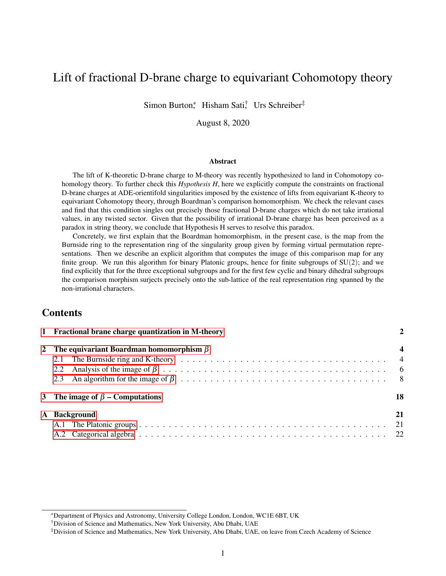# Lift of fractional D-brane charge to equivariant Cohomotopy theory

Simon Burton,\* Hisham Sati, Urs Schreiber<sup>‡</sup>

August 8, 2020

#### Abstract

The lift of K-theoretic D-brane charge to M-theory was recently hypothesized to land in Cohomotopy cohomology theory. To further check this *Hypothesis H*, here we explicitly compute the constraints on fractional D-brane charges at ADE-orientifold singularities imposed by the existence of lifts from equivariant K-theory to equivariant Cohomotopy theory, through Boardman's comparison homomorphism. We check the relevant cases and find that this condition singles out precisely those fractional D-brane charges which do not take irrational values, in any twisted sector. Given that the possibility of irrational D-brane charge has been perceived as a paradox in string theory, we conclude that Hypothesis H serves to resolve this paradox.

Concretely, we first explain that the Boardman homomorphism, in the present case, is the map from the Burnside ring to the representation ring of the singularity group given by forming virtual permutation representations. Then we describe an explicit algorithm that computes the image of this comparison map for any finite group. We run this algorithm for binary Platonic groups, hence for finite subgroups of  $SU(2)$ ; and we find explicitly that for the three exceptional subgroups and for the first few cyclic and binary dihedral subgroups the comparison morphism surjects precisely onto the sub-lattice of the real representation ring spanned by the non-irrational characters.

## **Contents**

| 1 Fractional brane charge quantization in M-theory |                                                 |                         |  |  |  |  |  |  |  |
|----------------------------------------------------|-------------------------------------------------|-------------------------|--|--|--|--|--|--|--|
|                                                    | 2 The equivariant Boardman homomorphism $\beta$ | $\overline{\mathbf{4}}$ |  |  |  |  |  |  |  |
|                                                    | 3 The image of $\beta$ – Computations           | 18                      |  |  |  |  |  |  |  |
|                                                    | A Background                                    | 21                      |  |  |  |  |  |  |  |

<sup>\*</sup>Department of Physics and Astronomy, University College London, London, WC1E 6BT, UK

<sup>†</sup>Division of Science and Mathematics, New York University, Abu Dhabi, UAE

<sup>‡</sup>Division of Science and Mathematics, New York University, Abu Dhabi, UAE, on leave from Czech Academy of Science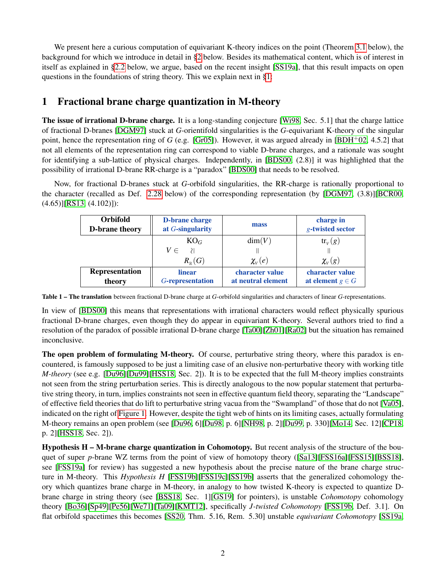We present here a curious computation of equivariant K-theory indices on the point (Theorem [3.1](#page-17-1) below), the background for which we introduce in detail in [§2](#page-3-0) below. Besides its mathematical content, which is of interest in itself as explained in [§2.2](#page-5-0) below, we argue, based on the recent insight [\[SS19a\]](#page-24-0), that this result impacts on open questions in the foundations of string theory. This we explain next in [§1:](#page-1-0)

# <span id="page-1-0"></span>1 Fractional brane charge quantization in M-theory

The issue of irrational D-brane charge. It is a long-standing conjecture [\[Wi98,](#page-25-0) Sec. 5.1] that the charge lattice of fractional D-branes [\[DGM97\]](#page-22-0) stuck at *G*-orientifold singularities is the *G*-equivariant K-theory of the singular point, hence the representation ring of *G* (e.g. [\[Gr05\]](#page-23-0)). However, it was argued already in [\[BDH](#page-22-1)<sup>+</sup>02, 4.5.2] that not all elements of the representation ring can correspond to viable D-brane charges, and a rationale was sought for identifying a sub-lattice of physical charges. Independently, in [\[BDS00,](#page-22-2) (2.8)] it was highlighted that the possibility of irrational D-brane RR-charge is a "paradox" [\[BDS00\]](#page-22-2) that needs to be resolved.

<span id="page-1-2"></span>Now, for fractional D-branes stuck at *G*-orbifold singularities, the RR-charge is rationally proportional to the character (recalled as Def. [2.28](#page-13-0) below) of the corresponding representation (by [\[DGM97,](#page-22-0) (3.8)][\[BCR00,](#page-22-3) (4.65)][\[RS13,](#page-24-1) (4.102)]):

| <b>Orbifold</b><br>D-brane theory | <b>D-brane charge</b><br>at G-singularity | mass            | charge in<br>g-twisted sector |
|-----------------------------------|-------------------------------------------|-----------------|-------------------------------|
|                                   | $KO_G$                                    | dim(V)          | $\text{tr}_{V}(g)$            |
|                                   | $V \in$                                   |                 |                               |
|                                   | $R_{\scriptscriptstyle \rm p}(G)$         | $\chi_{V}(e)$   | $\chi_{V}(g)$                 |
| Representation                    | <b>linear</b>                             | character value | character value               |
| theory                            | G-representation                          |                 | at element $g \in G$          |

Table 1 – The translation between fractional D-brane charge at *G*-orbifold singularities and characters of linear *G*-representations.

In view of [\[BDS00\]](#page-22-2) this means that representations with irrational characters would reflect physically spurious fractional D-brane charges, even though they do appear in equivariant K-theory. Several authors tried to find a resolution of the paradox of possible irrational D-brane charge [\[Ta00\]](#page-24-2)[\[Zh01\]](#page-25-1)[\[Ra02\]](#page-23-1) but the situation has remained inconclusive.

The open problem of formulating M-theory. Of course, perturbative string theory, where this paradox is encountered, is famously supposed to be just a limiting case of an elusive non-perturbative theory with working title *M-theory* (see e.g. [\[Du96\]](#page-22-4)[\[Du99\]](#page-22-5)[\[HSS18,](#page-23-2) Sec. 2]). It is to be expected that the full M-theory implies constraints not seen from the string perturbation series. This is directly analogous to the now popular statement that perturbative string theory, in turn, implies constraints not seen in effective quantum field theory, separating the "Landscape" of effective field theories that do lift to perturbative string vacua from the "Swampland" of those that do not [\[Va05\]](#page-24-3), indicated on the right of [Figure 1.](#page-2-0) However, despite the tight web of hints on its limiting cases, actually formulating M-theory remains an open problem (see [\[Du96,](#page-22-4) 6][\[Du98,](#page-22-6) p. 6][\[NH98,](#page-23-3) p. 2][\[Du99,](#page-22-5) p. 330][\[Mo14,](#page-23-4) Sec. 12][\[CP18,](#page-22-7) p. 2][\[HSS18,](#page-23-2) Sec. 2]).

<span id="page-1-1"></span>Hypothesis H – M-brane charge quantization in Cohomotopy. But recent analysis of the structure of the bouquet of super *p*-brane WZ terms from the point of view of homotopy theory ([\[Sa13\]](#page-24-4)[\[FSS16a\]](#page-22-8)[\[FSS15\]](#page-22-9)[\[BSS18\]](#page-22-10), see [\[FSS19a\]](#page-23-5) for review) has suggested a new hypothesis about the precise nature of the brane charge structure in M-theory. This *Hypothesis H* [\[FSS19b\]](#page-23-6)[\[FSS19c\]](#page-23-7)[\[SS19b\]](#page-24-5) asserts that the generalized cohomology theory which quantizes brane charge in M-theory, in analogy to how twisted K-theory is expected to quantize Dbrane charge in string theory (see [\[BSS18,](#page-22-10) Sec. 1][\[GS19\]](#page-23-8) for pointers), is unstable *Cohomotopy* cohomology theory [\[Bo36\]](#page-22-11)[\[Sp49\]](#page-24-6)[\[Pe56\]](#page-24-7)[\[We71\]](#page-24-8)[\[Ta09\]](#page-24-9)[\[KMT12\]](#page-23-9), specifically *J-twisted Cohomotopy* [\[FSS19b,](#page-23-6) Def. 3.1]. On flat orbifold spacetimes this becomes [\[SS20,](#page-24-10) Thm. 5.16, Rem. 5.30] unstable *equivariant Cohomotopy* [\[SS19a,](#page-24-0)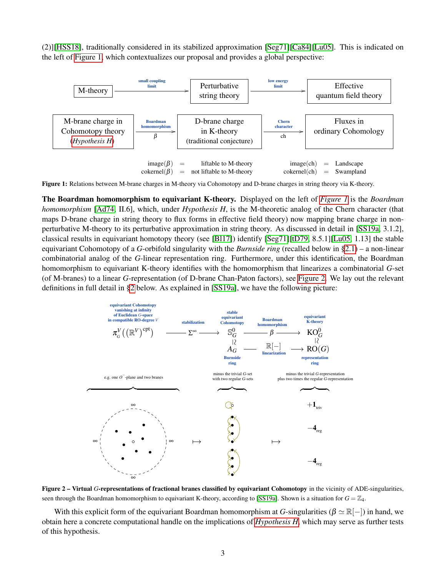(2)][\[HSS18\]](#page-23-2), traditionally considered in its stabilized approximation [\[Seg71\]](#page-24-11)[\[Ca84\]](#page-22-12)[\[Lu05\]](#page-23-10). This is indicated on the left of [Figure 1,](#page-2-0) which contextualizes our proposal and provides a global perspective:

<span id="page-2-0"></span>

Figure 1: Relations between M-brane charges in M-theory via Cohomotopy and D-brane charges in string theory via K-theory.

The Boardman homomorphism to equivariant K-theory. Displayed on the left of *[Figure 1](#page-2-0)* is the *Boardman homomorphism* [\[Ad74,](#page-22-13) II.6], which, under *Hypothesis H*, is the M-theoretic analog of the Chern character (that maps D-brane charge in string theory to flux forms in effective field theory) now mapping brane charge in nonperturbative M-theory to its perturbative approximation in string theory. As discussed in detail in [\[SS19a,](#page-24-0) 3.1.2], classical results in equivariant homotopy theory (see [\[Bl17\]](#page-22-14)) identify [\[Seg71\]](#page-24-11)[\[tD79,](#page-24-12) 8.5.1][\[Lu05,](#page-23-10) 1.13] the stable equivariant Cohomotopy of a *G*-orbifold singularity with the *Burnside ring* (recalled below in [§2.1\)](#page-3-1) – a non-linear combinatorial analog of the *G*-linear representation ring. Furthermore, under this identification, the Boardman homomorphism to equivariant K-theory identifies with the homomorphism that linearizes a combinatorial *G*-set (of M-branes) to a linear *G*-representation (of D-brane Chan-Paton factors), see [Figure 2.](#page-2-1) We lay out the relevant definitions in full detail in [§2](#page-3-0) below. As explained in [\[SS19a\]](#page-24-0), we have the following picture:

<span id="page-2-1"></span>

Figure 2 – Virtual *G*-representations of fractional branes classified by equivariant Cohomotopy in the vicinity of ADE-singularities, seen through the Boardman homomorphism to equivariant K-theory, according to [\[SS19a\]](#page-24-0). Shown is a situation for  $G = \mathbb{Z}_4$ .

With this explicit form of the equivariant Boardman homomorphism at *G*-singularities ( $\beta \simeq \mathbb{R}[-]$ ) in hand, we obtain here a concrete computational handle on the implications of *[Hypothesis H](#page-1-1)*, which may serve as further tests of this hypothesis.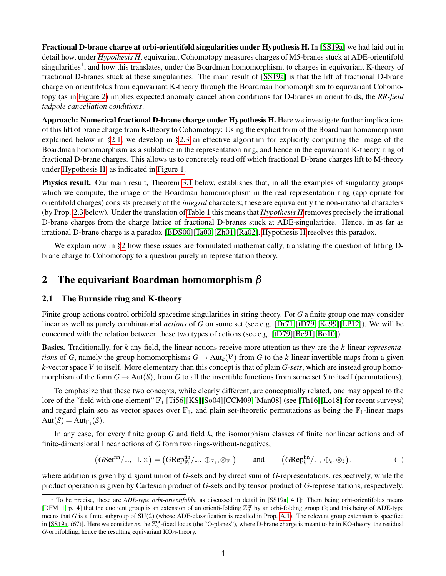Fractional D-brane charge at orbi-orientifold singularities under Hypothesis H. In [\[SS19a\]](#page-24-0) we had laid out in detail how, under *[Hypothesis H](#page-1-1)*, equivariant Cohomotopy measures charges of M5-branes stuck at ADE-orientifold singularities<sup>[1](#page-3-2)</sup>, and how this translates, under the Boardman homomorphism, to charges in equivariant K-theory of fractional D-branes stuck at these singularities. The main result of [\[SS19a\]](#page-24-0) is that the lift of fractional D-brane charge on orientifolds from equivariant K-theory through the Boardman homomorphism to equivariant Cohomotopy (as in [Figure 2\)](#page-2-1) implies expected anomaly cancellation conditions for D-branes in orientifolds, the *RR-field tadpole cancellation conditions*.

Approach: Numerical fractional D-brane charge under Hypothesis H. Here we investigate further implications of this lift of brane charge from K-theory to Cohomotopy: Using the explicit form of the Boardman homomorphism explained below in [§2.1,](#page-3-1) we develop in [§2.3](#page-7-0) an effective algorithm for explicitly computing the image of the Boardman homomorphism as a sublattice in the representation ring, and hence in the equivariant K-theory ring of fractional D-brane charges. This allows us to concretely read off which fractional D-brane charges lift to M-theory under [Hypothesis H,](#page-1-1) as indicated in [Figure 1.](#page-2-0)

Physics result. Our main result, Theorem [3.1](#page-17-1) below, establishes that, in all the examples of singularity groups which we compute, the image of the Boardman homomorphism in the real representation ring (appropriate for orientifold charges) consists precisely of the *integral* characters; these are equivalently the non-irrational characters (by Prop. [2.3](#page-6-0) below). Under the translation of [Table 1](#page-1-2) this means that *[Hypothesis H](#page-1-1)* removes precisely the irrational D-brane charges from the charge lattice of fractional D-branes stuck at ADE-singularities. Hence, in as far as irrational D-brane charge is a paradox [\[BDS00\]](#page-22-2)[\[Ta00\]](#page-24-2)[\[Zh01\]](#page-25-1)[\[Ra02\]](#page-23-1), [Hypothesis H](#page-1-1) resolves this paradox.

We explain now in [§2](#page-3-0) how these issues are formulated mathematically, translating the question of lifting Dbrane charge to Cohomotopy to a question purely in representation theory.

## <span id="page-3-0"></span>2 The equivariant Boardman homomorphism  $\beta$

## <span id="page-3-1"></span>2.1 The Burnside ring and K-theory

Finite group actions control orbifold spacetime singularities in string theory. For *G* a finite group one may consider linear as well as purely combinatorial *actions* of *G* on some set (see e.g. [\[Dr71\]](#page-22-15)[\[tD79\]](#page-24-12)[\[Ke99\]](#page-23-11)[\[LP12\]](#page-23-12)). We will be concerned with the relation between these two types of actions (see e.g. [\[tD79\]](#page-24-12)[\[Be91\]](#page-22-16)[\[Bo10\]](#page-22-17)).

Basics. Traditionally, for *k* any field, the linear actions receive more attention as they are the *k*-linear *representations* of *G*, namely the group homomorphisms  $G \to Aut_k(V)$  from *G* to the *k*-linear invertible maps from a given *k*-vector space *V* to itself. More elementary than this concept is that of plain *G-sets*, which are instead group homomorphism of the form  $G \to Aut(S)$ , from G to all the invertible functions from some set S to itself (permutations).

To emphasize that these two concepts, while clearly different, are conceptually related, one may appeal to the lore of the "field with one element"  $\mathbb{F}_1$  [\[Ti56\]](#page-24-13)[\[KS\]](#page-23-13)[\[So04\]](#page-24-14)[\[CCM09\]](#page-22-18)[\[Man08\]](#page-23-14) (see [\[Th16\]](#page-24-15)[\[Lo18\]](#page-23-15) for recent surveys) and regard plain sets as vector spaces over  $\mathbb{F}_1$ , and plain set-theoretic permutations as being the  $\mathbb{F}_1$ -linear maps  $Aut(S) = Aut_{\mathbb{F}_1}(S).$ 

In any case, for every finite group *G* and field *k*, the isomorphism classes of finite nonlinear actions and of finite-dimensional linear actions of *G* form two rings-without-negatives,

<span id="page-3-3"></span>
$$
(GSet^{\text{fin}}/\sim, \sqcup, \times) = (GRep_{\mathbb{F}_1}^{\text{fin}}/\sim, \oplus_{\mathbb{F}_1}, \otimes_{\mathbb{F}_1}) \quad \text{and} \quad (GRep_k^{\text{fin}}/\sim, \oplus_k, \otimes_k), \tag{1}
$$

where addition is given by disjoint union of *G*-sets and by direct sum of *G*-representations, respectively, while the product operation is given by Cartesian product of *G*-sets and by tensor product of *G*-representations, respectively.

<span id="page-3-2"></span><sup>&</sup>lt;sup>1</sup> To be precise, these are *ADE-type orbi-orientifolds*, as discussed in detail in [\[SS19a,](#page-24-0) 4.1]: Them being orbi-orientifolds means [\[DFM11,](#page-22-19) p. 4] that the quotient group is an extension of an orienti-folding  $\mathbb{Z}_2^{\text{or}}$  by an orbi-folding group *G*; and this being of ADE-type means that *G* is a finite subgroup of SU(2) (whose ADE-classification is recalled in Prop. [A.1\)](#page-20-2). The relevant group extension is specified in [\[SS19a,](#page-24-0) (67)]. Here we consider *on* the  $\mathbb{Z}_2^{\text{or}}$ -fixed locus (the "O-planes"), where D-brane charge is meant to be in KO-theory, the residual *G*-orbifolding, hence the resulting equivariant  $KO_G$ -theory.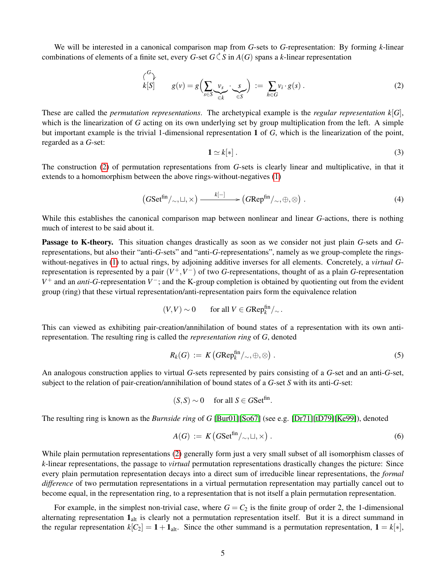We will be interested in a canonical comparison map from *G*-sets to *G*-representation: By forming *k*-linear combinations of elements of a finite set, every *G*-set  $G \subset S$  in  $A(G)$  spans a *k*-linear representation

<span id="page-4-0"></span>
$$
\begin{pmatrix} G \\ k[S] \end{pmatrix} \qquad g(v) = g\left(\sum_{s \in S} \underbrace{v_s}_{\in k} \cdot \underbrace{s}_{\in S}\right) := \sum_{h \in G} v_i \cdot g(s) \,. \tag{2}
$$

These are called the *permutation representations*. The archetypical example is the *regular representation*  $k[G]$ , which is the linearization of *G* acting on its own underlying set by group multiplication from the left. A simple but important example is the trivial 1-dimensional representation 1 of *G*, which is the linearization of the point, regarded as a *G*-set:

<span id="page-4-4"></span>
$$
\mathbf{1} \simeq k[*]. \tag{3}
$$

The construction [\(2\)](#page-4-0) of permutation representations from *G*-sets is clearly linear and multiplicative, in that it extends to a homomorphism between the above rings-without-negatives [\(1\)](#page-3-3)

<span id="page-4-1"></span>
$$
(GSet^{\text{fin}}/\sim,\sqcup,\times) \xrightarrow{k[-]} (GRep^{\text{fin}}/\sim,\oplus,\otimes).
$$
 (4)

While this establishes the canonical comparison map between nonlinear and linear *G*-actions, there is nothing much of interest to be said about it.

Passage to K-theory. This situation changes drastically as soon as we consider not just plain *G*-sets and *G*representations, but also their "anti-*G*-sets" and "anti-*G*-representations", namely as we group-complete the ringswithout-negatives in [\(1\)](#page-3-3) to actual rings, by adjoining additive inverses for all elements. Concretely, a *virtual G*representation is represented by a pair  $(V^+, V^-)$  of two *G*-representations, thought of as a plain *G*-representation *V*<sup>+</sup> and an *anti*-*G*-representation *V*<sup>−</sup>; and the K-group completion is obtained by quotienting out from the evident group (ring) that these virtual representation/anti-representation pairs form the equivalence relation

$$
(V, V) \sim 0 \qquad \text{for all } V \in GRep_k^{\text{fin}}/_{\sim}.
$$

This can viewed as exhibiting pair-creation/annihilation of bound states of a representation with its own antirepresentation. The resulting ring is called the *representation ring* of *G*, denoted

<span id="page-4-3"></span>
$$
R_k(G) := K\left(\text{GRep}_k^{\text{fin}}/\,\sim,\oplus,\otimes\right). \tag{5}
$$

An analogous construction applies to virtual *G*-sets represented by pairs consisting of a *G*-set and an anti-*G*-set, subject to the relation of pair-creation/annihilation of bound states of a *G*-set *S* with its anti-*G*-set:

$$
(S, S) \sim 0 \quad \text{ for all } S \in GSet^{\text{fin}}.
$$

The resulting ring is known as the *Burnside ring* of *G* [\[Bur01\]](#page-22-20)[\[So67\]](#page-24-16) (see e.g. [\[Dr71\]](#page-22-15)[\[tD79\]](#page-24-12)[\[Ke99\]](#page-23-11)), denoted

<span id="page-4-2"></span>
$$
A(G) := K\left(G\mathrm{Set}^{\mathrm{fin}}/\sim, \sqcup, \times\right). \tag{6}
$$

While plain permutation representations [\(2\)](#page-4-0) generally form just a very small subset of all isomorphism classes of *k*-linear representations, the passage to *virtual* permutation representations drastically changes the picture: Since every plain permutation representation decays into a direct sum of irreducible linear representations, the *formal difference* of two permutation representations in a virtual permutation representation may partially cancel out to become equal, in the representation ring, to a representation that is not itself a plain permutation representation.

For example, in the simplest non-trivial case, where  $G = C_2$  is the finite group of order 2, the 1-dimensional alternating representation  $1_{alt}$  is clearly not a permutation representation itself. But it is a direct summand in the regular representation  $k[C_2] = 1 + \mathbf{1}_{alt}$ . Since the other summand is a permutation representation,  $\mathbf{1} = k[*]$ ,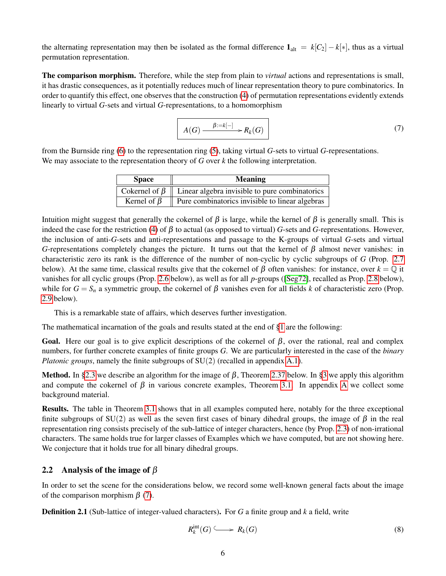the alternating representation may then be isolated as the formal difference  $\mathbf{1}_{alt} = k[C_2] - k[*]$ , thus as a virtual permutation representation.

The comparison morphism. Therefore, while the step from plain to *virtual* actions and representations is small, it has drastic consequences, as it potentially reduces much of linear representation theory to pure combinatorics. In order to quantify this effect, one observes that the construction [\(4\)](#page-4-1) of permutation representations evidently extends linearly to virtual *G*-sets and virtual *G*-representations, to a homomorphism

<span id="page-5-1"></span>
$$
A(G) \xrightarrow{\beta := k[-]} R_k(G) \tag{7}
$$

from the Burnside ring [\(6\)](#page-4-2) to the representation ring [\(5\)](#page-4-3), taking virtual *G*-sets to virtual *G*-representations. We may associate to the representation theory of *G* over *k* the following interpretation.

| <b>Space</b>      | <b>Meaning</b>                                                       |
|-------------------|----------------------------------------------------------------------|
|                   | Cokernel of $\beta$   Linear algebra invisible to pure combinatorics |
| Kernel of $\beta$ | Pure combinatorics invisible to linear algebras                      |

Intuition might suggest that generally the cokernel of  $β$  is large, while the kernel of  $β$  is generally small. This is indeed the case for the restriction [\(4\)](#page-4-1) of  $\beta$  to actual (as opposed to virtual) *G*-sets and *G*-representations. However, the inclusion of anti-*G*-sets and anti-representations and passage to the K-groups of virtual *G*-sets and virtual *G*-representations completely changes the picture. It turns out that the kernel of  $\beta$  almost never vanishes: in characteristic zero its rank is the difference of the number of non-cyclic by cyclic subgroups of *G* (Prop. [2.7](#page-7-1) below). At the same time, classical results give that the cokernel of  $\beta$  often vanishes: for instance, over  $k = \mathbb{Q}$  it vanishes for all cyclic groups (Prop. [2.6](#page-6-1) below), as well as for all *p*-groups ([\[Seg72\]](#page-24-17), recalled as Prop. [2.8](#page-7-2) below), while for *G* = *S<sub>n</sub>* a symmetric group, the cokernel of β vanishes even for all fields *k* of characteristic zero (Prop. [2.9](#page-7-3) below).

This is a remarkable state of affairs, which deserves further investigation.

The mathematical incarnation of the goals and results stated at the end of [§1](#page-1-0) are the following:

Goal. Here our goal is to give explicit descriptions of the cokernel of  $\beta$ , over the rational, real and complex numbers, for further concrete examples of finite groups *G*. We are particularly interested in the case of the *binary Platonic groups*, namely the finite subgroups of SU(2) (recalled in appendix [A.1\)](#page-20-1).

Method. In [§2.3](#page-7-0) we describe an algorithm for the image of  $\beta$ , Theorem [2.37](#page-15-0) below. In [§3](#page-17-0) we apply this algorithm and compute the cokernel of  $\beta$  in various concrete examples. Theorem [3.1.](#page-17-1) In appendix [A](#page-20-0) we collect some background material.

Results. The table in Theorem [3.1](#page-17-1) shows that in all examples computed here, notably for the three exceptional finite subgroups of SU(2) as well as the seven first cases of binary dihedral groups, the image of  $\beta$  in the real representation ring consists precisely of the sub-lattice of integer characters, hence (by Prop. [2.3\)](#page-6-0) of non-irrational characters. The same holds true for larger classes of Examples which we have computed, but are not showing here. We conjecture that it holds true for all binary dihedral groups.

## <span id="page-5-0"></span>2.2 Analysis of the image of  $\beta$

In order to set the scene for the considerations below, we record some well-known general facts about the image of the comparison morphism  $\beta$  [\(7\)](#page-5-1).

<span id="page-5-2"></span>Definition 2.1 (Sub-lattice of integer-valued characters). For *G* a finite group and *k* a field, write

<span id="page-5-3"></span>
$$
R_k^{\rm int}(G) \longrightarrow R_k(G) \tag{8}
$$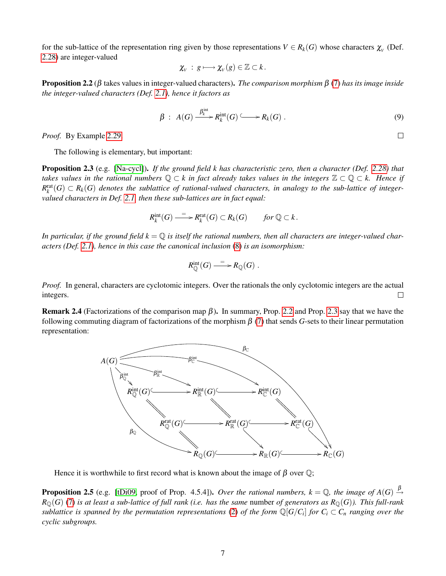for the sub-lattice of the representation ring given by those representations  $V \in R_k(G)$  whose characters  $\chi_V$  (Def. [2.28\)](#page-13-0) are integer-valued

$$
\chi_{V} \,:\, g \longmapsto \chi_{V}(g) \in \mathbb{Z} \subset k\,.
$$

<span id="page-6-2"></span>Proposition 2.2 (β takes values in integer-valued characters). *The comparison morphism* β [\(7\)](#page-5-1) *has its image inside the integer-valued characters (Def. [2.1\)](#page-5-2), hence it factors as*

$$
\beta : A(G) \xrightarrow{\beta_k^{\text{int}}} R_k^{\text{int}}(G) \longrightarrow R_k(G) . \tag{9}
$$

*Proof.* By Example [2.29.](#page-13-1)

The following is elementary, but important:

<span id="page-6-0"></span>Proposition 2.3 (e.g. [\[Na-cycl\]](#page-23-16)). *If the ground field k has characteristic zero, then a character (Def. [2.28\)](#page-13-0) that takes values in the rational numbers* Q ⊂ *k in fact already takes values in the integers* Z ⊂ Q ⊂ *k. Hence if*  $R_k^{\text{rat}}(G) \subset R_k(G)$  denotes the sublattice of rational-valued characters, in analogy to the sub-lattice of integer*valued characters in Def. [2.1,](#page-5-2) then these sub-lattices are in fact equal:*

$$
R_k^{\text{int}}(G) \xrightarrow{= \ } R_k^{\text{rat}}(G) \subset R_k(G) \qquad \text{for } \mathbb{Q} \subset k \, .
$$

In particular, if the ground field  $k = \mathbb{Q}$  is itself the rational numbers, then all characters are integer-valued char*acters (Def. [2.1\)](#page-5-2), hence in this case the canonical inclusion* [\(8\)](#page-5-3) *is an isomorphism:*

$$
R_{\mathbb{Q}}^{\mathrm{int}}(G) \stackrel{=}{\longrightarrow} R_{\mathbb{Q}}(G) .
$$

*Proof.* In general, characters are cyclotomic integers. Over the rationals the only cyclotomic integers are the actual integers.  $\Box$ 

<span id="page-6-3"></span>**Remark 2.4** (Factorizations of the comparison map  $\beta$ ). In summary, Prop. [2.2](#page-6-2) and Prop. [2.3](#page-6-0) say that we have the following commuting diagram of factorizations of the morphism  $\beta$  [\(7\)](#page-5-1) that sends *G*-sets to their linear permutation representation:



Hence it is worthwhile to first record what is known about the image of  $\beta$  over  $\mathbb{Q}$ ;

<span id="page-6-1"></span>**Proposition 2.5** (e.g. [\[tDi09,](#page-24-18) proof of Prop. 4.5.4]). *Over the rational numbers, k* = Q, the image of  $A(G) \stackrel{\beta}{\rightarrow}$  $R_{\mathbb{O}}(G)$  [\(7\)](#page-5-1) *is at least a sub-lattice of full rank (i.e. has the same number <i>of generators as*  $R_{\mathbb{O}}(G)$ *). This full-rank sublattice is spanned by the permutation representations* [\(2\)](#page-4-0) *of the form*  $\mathbb{Q}[G/C_i]$  *for*  $C_i \subset C_n$  *ranging over the cyclic subgroups.*

 $\Box$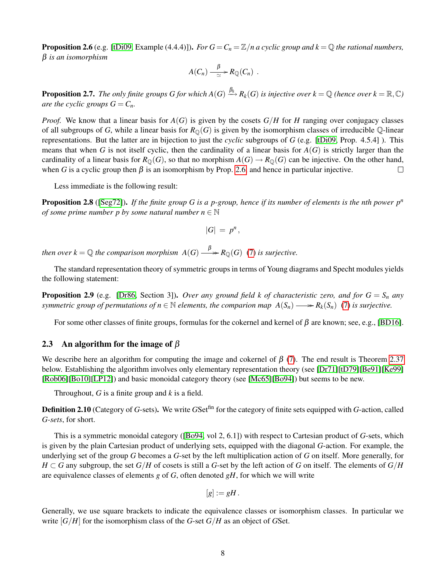**Proposition 2.6** (e.g. [\[tDi09,](#page-24-18) Example (4.4.4)]). *For*  $G = C_n = \mathbb{Z}/n$  *a cyclic group and k* =  $\mathbb Q$  *the rational numbers,* β *is an isomorphism*

$$
A(C_n) \stackrel{\beta}{\longrightarrow} R_{\mathbb{Q}}(C_n) .
$$

<span id="page-7-1"></span>**Proposition 2.7.** The only finite groups G for which  $A(G)\stackrel{\beta_k}{\longrightarrow}R_k(G)$  is injective over  $k=\mathbb{Q}$  (hence over  $k=\mathbb{R},\mathbb{C}$ ) *are the cyclic groups*  $G = C_n$ *.* 

*Proof.* We know that a linear basis for  $A(G)$  is given by the cosets  $G/H$  for *H* ranging over conjugacy classes of all subgroups of *G*, while a linear basis for  $R_{\mathbb{Q}}(G)$  is given by the isomorphism classes of irreducible  $\mathbb{Q}$ -linear representations. But the latter are in bijection to just the *cyclic* subgroups of *G* (e.g. [\[tDi09,](#page-24-18) Prop. 4.5.4] ). This means that when *G* is not itself cyclic, then the cardinality of a linear basis for  $A(G)$  is strictly larger than the cardinality of a linear basis for  $R_{\mathbb{Q}}(G)$ , so that no morphism  $A(G) \to R_{\mathbb{Q}}(G)$  can be injective. On the other hand, when *G* is a cyclic group then  $\beta$  is an isomorphism by Prop. [2.6,](#page-6-1) and hence in particular injective.  $\Box$ 

Less immediate is the following result:

<span id="page-7-2"></span>Proposition 2.8 ([\[Seg72\]](#page-24-17)). *If the finite group G is a p-group, hence if its number of elements is the nth power p<sup>n</sup> of some prime number p by some natural number n*  $\in \mathbb{N}$ 

$$
|G| = p^n,
$$

*then over*  $k = \mathbb{Q}$  *the comparison morphism*  $A(G) \xrightarrow{\beta} R_{\mathbb{Q}}(G)$  [\(7\)](#page-5-1) *is surjective.* 

The standard representation theory of symmetric groups in terms of Young diagrams and Specht modules yields the following statement:

<span id="page-7-3"></span>**Proposition 2.9** (e.g. [\[Dr86,](#page-22-21) Section 3]). *Over any ground field k of characteristic zero, and for*  $G = S_n$  *any symmetric group of permutations of*  $n \in \mathbb{N}$  *elements, the comparion map*  $A(S_n) \longrightarrow R_k(S_n)$  [\(7\)](#page-5-1) is surjective.

For some other classes of finite groups, formulas for the cokernel and kernel of  $\beta$  are known; see, e.g., [\[BD16\]](#page-22-22).

## <span id="page-7-0"></span>2.3 An algorithm for the image of  $\beta$

We describe here an algorithm for computing the image and cokernel of  $\beta$  [\(7\)](#page-5-1). The end result is Theorem [2.37](#page-15-0) below. Establishing the algorithm involves only elementary representation theory (see [\[Dr71\]](#page-22-15)[\[tD79\]](#page-24-12)[\[Be91\]](#page-22-16)[\[Ke99\]](#page-23-11) [\[Rob06\]](#page-24-19)[\[Bo10\]](#page-22-17)[\[LP12\]](#page-23-12)) and basic monoidal category theory (see [\[Mc65\]](#page-23-17)[\[Bo94\]](#page-22-23)) but seems to be new.

Throughout, *G* is a finite group and *k* is a field.

<span id="page-7-4"></span>Definition 2.10 (Category of *G*-sets). We write *G*Setfin for the category of finite sets equipped with *G*-action, called *G-sets*, for short.

This is a symmetric monoidal category ([\[Bo94,](#page-22-23) vol 2, 6.1]) with respect to Cartesian product of *G*-sets, which is given by the plain Cartesian product of underlying sets, equipped with the diagonal *G*-action. For example, the underlying set of the group *G* becomes a *G*-set by the left multiplication action of *G* on itself. More generally, for  $H \subset G$  any subgroup, the set  $G/H$  of cosets is still a *G*-set by the left action of *G* on itself. The elements of  $G/H$ are equivalence classes of elements *g* of *G*, often denoted *gH*, for which we will write

$$
[g]:=gH.
$$

<span id="page-7-5"></span>Generally, we use square brackets to indicate the equivalence classes or isomorphism classes. In particular we write  $[G/H]$  for the isomorphism class of the *G*-set  $G/H$  as an object of *GSet*.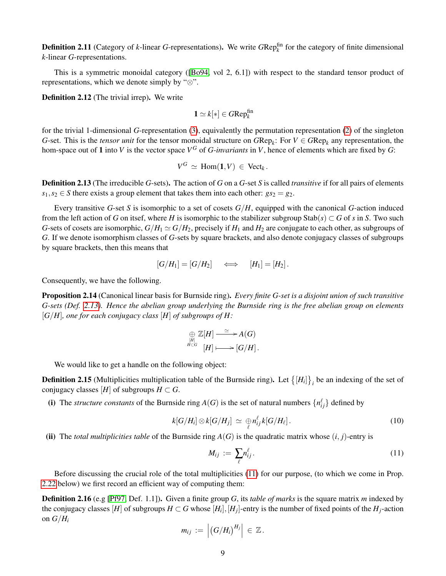**Definition 2.11** (Category of  $k$ -linear *G*-representations). We write  $GRep_k^{\text{fin}}$  for the category of finite dimensional *k*-linear *G*-representations.

This is a symmetric monoidal category ([\[Bo94,](#page-22-23) vol 2, 6.1]) with respect to the standard tensor product of representations, which we denote simply by "⊗".

<span id="page-8-6"></span>Definition 2.12 (The trivial irrep). We write

$$
1 \simeq k[*] \in GRep_k^{\text{fin}}
$$

for the trivial 1-dimensional *G*-representation [\(3\)](#page-4-4), equivalently the permutation representation [\(2\)](#page-4-0) of the singleton *G*-set. This is the *tensor unit* for the tensor monoidal structure on  $GRep_k$ : For  $V \in GRep_k$  any representation, the hom-space out of 1 into *V* is the vector space  $V^G$  of *G-invariants* in *V*, hence of elements which are fixed by *G*:

$$
V^G \simeq \text{Hom}(\mathbf{1}, V) \in \text{Vect}_k.
$$

<span id="page-8-0"></span>Definition 2.13 (The irreducible *G*-sets). The action of *G* on a *G*-set *S* is called *transitive* if for all pairs of elements  $s_1, s_2 \in S$  there exists a group element that takes them into each other:  $gs_2 = g_2$ .

Every transitive *G*-set *S* is isomorphic to a set of cosets *G*/*H*, equipped with the canonical *G*-action induced from the left action of *G* on itsef, where *H* is isomorphic to the stabilizer subgroup  $\text{Stab}(s) \subset G$  of *s* in *S*. Two such *G*-sets of cosets are isomorphic,  $G/H_1 \simeq G/H_2$ , precisely if  $H_1$  and  $H_2$  are conjugate to each other, as subgroups of *G*. If we denote isomorphism classes of *G*-sets by square brackets, and also denote conjugacy classes of subgroups by square brackets, then this means that

$$
[G/H_1] = [G/H_2] \iff [H_1] = [H_2].
$$

Consequently, we have the following.

Proposition 2.14 (Canonical linear basis for Burnside ring). *Every finite G-set is a disjoint union of such transitive G-sets (Def. [2.13\)](#page-8-0). Hence the abelian group underlying the Burnside ring is the free abelian group on elements* [*G*/*H*]*, one for each conjugacy class* [*H*] *of subgroups of H:*

$$
\bigoplus_{\substack{[H]\\H\subset G}} \mathbb{Z}[H] \xrightarrow{\simeq} A(G)
$$
  

$$
H \longrightarrow [G/H].
$$

We would like to get a handle on the following object:

<span id="page-8-3"></span>**Definition 2.15** (Multiplicities multiplication table of the Burnside ring). Let  $\{[H_i]\}_i$  be an indexing of the set of conjugacy classes [*H*] of subgroups  $H \subset G$ .

(i) The *structure constants* of the Burnside ring  $A(G)$  is the set of natural numbers  $\{n_{ij}^{\ell}\}$  defined by

<span id="page-8-5"></span>
$$
k[G/H_i] \otimes k[G/H_j] \simeq \bigoplus_{\ell} n_{ij}^{\ell} k[G/H_{\ell}]. \qquad (10)
$$

(ii) The *total multiplicities table* of the Burnside ring  $A(G)$  is the quadratic matrix whose  $(i, j)$ -entry is

<span id="page-8-1"></span>
$$
M_{ij} := \sum_{\ell} n_{ij}^{\ell}.
$$
 (11)

Before discussing the crucial role of the total multiplicities [\(11\)](#page-8-1) for our purpose, (to which we come in Prop. [2.22](#page-11-0) below) we first record an efficient way of computing them:

<span id="page-8-4"></span><span id="page-8-2"></span>Definition 2.16 (e.g [\[Pf97,](#page-24-20) Def. 1.1]). Given a finite group *G*, its *table of marks* is the square matrix *m* indexed by the conjugacy classes [H] of subgroups  $H \subset G$  whose [H<sub>i</sub>], [H<sub>j</sub>]-entry is the number of fixed points of the H<sub>j</sub>-action on  $G/H_i$ 

$$
m_{ij} := | (G/H_i)^{H_j} | \in \mathbb{Z}.
$$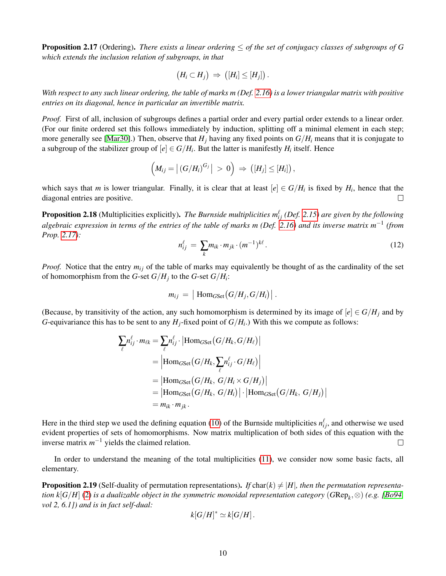Proposition 2.17 (Ordering). *There exists a linear ordering* ≤ *of the set of conjugacy classes of subgroups of G which extends the inclusion relation of subgroups, in that*

$$
(H_i\subset H_j)\ \Rightarrow\ \bigl([H_i]\leq [H_j]\bigr)\,.
$$

*With respect to any such linear ordering, the table of marks m (Def. [2.16\)](#page-8-2) is a lower triangular matrix with positive entries on its diagonal, hence in particular an invertible matrix.*

*Proof.* First of all, inclusion of subgroups defines a partial order and every partial order extends to a linear order. (For our finite ordered set this follows immediately by induction, splitting off a minimal element in each step; more generally see [\[Mar30\]](#page-23-18).) Then, observe that  $H_i$  having any fixed points on  $G/H_i$  means that it is conjugate to a subgroup of the stabilizer group of  $[e] \in G/H_i$ . But the latter is manifestly  $H_i$  itself. Hence

$$
\left(M_{ij}=\left|\left(G/H_i\right)^{G_j}\right|>0\right)\Rightarrow\left(\left[H_j\right]\leq\left[H_i\right]\right),\,
$$

which says that *m* is lower triangular. Finally, it is clear that at least  $[e] \in G/H_i$  is fixed by  $H_i$ , hence that the diagonal entries are positive.  $\Box$ 

**Proposition 2.18** (Multiplicities explicitly). *The Burnside multiplicities*  $m_{ij}^{\ell}$  *(Def. [2.15\)](#page-8-3) are given by the following algebraic expression in terms of the entries of the table of marks m (Def. [2.16\)](#page-8-2) and its inverse matrix m*−<sup>1</sup> *(from Prop. [2.17\)](#page-8-4):*

<span id="page-9-1"></span>
$$
n_{ij}^{\ell} = \sum_{k} m_{ik} \cdot m_{jk} \cdot (m^{-1})^{k\ell}.
$$
 (12)

*Proof.* Notice that the entry  $m_{ij}$  of the table of marks may equivalently be thought of as the cardinality of the set of homomorphism from the *G*-set *G*/*H<sup>j</sup>* to the *G*-set *G*/*H<sup>i</sup>* :

$$
m_{ij} = |\operatorname{Hom}_{GSet}(G/H_j, G/H_i)|.
$$

(Because, by transitivity of the action, any such homomorphism is determined by its image of  $[e] \in G/H$ *j* and by *G*-equivariance this has to be sent to any  $H_j$ -fixed point of  $G/H_i$ .) With this we compute as follows:

$$
\sum_{\ell} n_{ij}^{\ell} \cdot m_{\ell k} = \sum_{\ell} n_{ij}^{\ell} \cdot |\text{Hom}_{GSet}(G/H_k, G/H_{\ell})|
$$
\n
$$
= |\text{Hom}_{GSet}(G/H_k, \sum_{\ell} n_{ij}^{\ell} \cdot G/H_{\ell})|
$$
\n
$$
= |\text{Hom}_{GSet}(G/H_k, G/H_i \times G/H_j)|
$$
\n
$$
= |\text{Hom}_{GSet}(G/H_k, G/H_i)| \cdot |\text{Hom}_{GSet}(G/H_k, G/H_j)|
$$
\n
$$
= m_{ik} \cdot m_{jk}.
$$

Here in the third step we used the defining equation [\(10\)](#page-8-5) of the Burnside multiplicities  $n_{ij}^{\ell}$ , and otherwise we used evident properties of sets of homomorphisms. Now matrix multiplication of both sides of this equation with the inverse matrix  $m^{-1}$  yields the claimed relation.  $\Box$ 

In order to understand the meaning of the total multiplicities [\(11\)](#page-8-1), we consider now some basic facts, all elementary.

<span id="page-9-0"></span>**Proposition 2.19** (Self-duality of permutation representations). If char( $k$ )  $\neq$  |H|, then the permutation representa*tion k*[*G*/*H*] [\(2\)](#page-4-0) *is a dualizable object in the symmetric monoidal representation category* (*G*Rep*<sup>k</sup>* ,⊗) *(e.g. [\[Bo94,](#page-22-23) vol 2, 6.1]) and is in fact self-dual:*

$$
k[G/H]^* \simeq k[G/H].
$$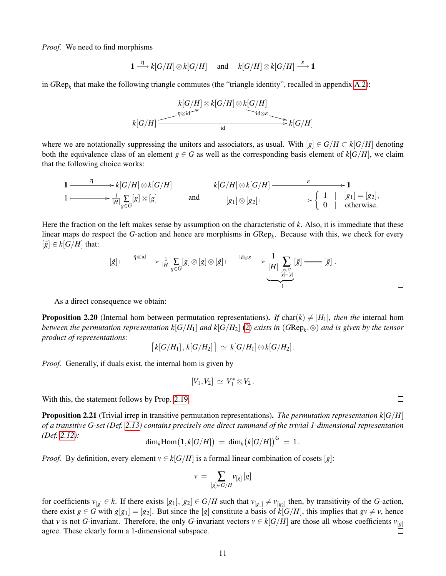*Proof.* We need to find morphisms

$$
1 \stackrel{\eta}{\longrightarrow} k[G/H] \otimes k[G/H] \quad \text{ and } \quad k[G/H] \otimes k[G/H] \stackrel{\varepsilon}{\longrightarrow} 1
$$

in *G*Rep*<sup>k</sup>* that make the following triangle commutes (the "triangle identity", recalled in appendix [A.2\)](#page-21-0):

$$
k[G/H] \otimes k[G/H] \otimes k[G/H]
$$
  
\n
$$
k[G/H] \xrightarrow{\eta \otimes id} k[G/H]
$$
  
\n
$$
k[G/H] \xrightarrow{\eta \otimes id} k[G/H]
$$

where we are notationally suppressing the unitors and associators, as usual. With  $[g] \in G/H \subset k[G/H]$  denoting both the equivalence class of an element  $g \in G$  as well as the corresponding basis element of  $k[G/H]$ , we claim that the following choice works:

$$
1 \longrightarrow k[G/H] \otimes k[G/H] \longrightarrow k[G/H] \qquad k[G/H] \otimes k[G/H] \longrightarrow 1
$$
  
\n
$$
1 \longmapsto \frac{1}{|H|} \sum_{g \in G} [g] \otimes [g]
$$
 and 
$$
[g_1] \otimes [g_2] \longmapsto \begin{cases} 1 & |[g_1] = [g_2], \\ 0 & | \text{ otherwise.} \end{cases}
$$

Here the fraction on the left makes sense by assumption on the characteristic of *k*. Also, it is immediate that these linear maps do respect the *G*-action and hence are morphisms in *G*Rep*<sup>k</sup>* . Because with this, we check for every  $[\tilde{g}] \in k[G/H]$  that:

$$
[\tilde{g}] \longmapsto \frac{\eta \otimes id}{|H|} \sum_{g \in G} [g] \otimes [g] \otimes [\tilde{g}] \longmapsto \frac{id \otimes \varepsilon}{|H|} \sum_{\substack{g \in G \\ [g] = [g] \\ = 1}} [\tilde{g}] \longrightarrow [\tilde{g}] .
$$

As a direct consequence we obtain:

<span id="page-10-1"></span>**Proposition 2.20** (Internal hom between permutation representations). If char(k)  $\neq |H_1|$ *, then the* internal hom *between the permutation representation k*[ $G/H_1$ ] *and k*[ $G/H_2$ ] [\(2\)](#page-4-0) *exists in (* $GRep_k$ *,*  $\otimes$ ) *and is given by the tensor product of representations:*

$$
[k[G/H_1], k[G/H_2]] \simeq k[G/H_1] \otimes k[G/H_2].
$$

*Proof.* Generally, if duals exist, the internal hom is given by

$$
[V_1,V_2]\,\simeq\,V_1^*\,{\otimes}\,V_2\,.
$$

With this, the statement follows by Prop. [2.19.](#page-9-0)

<span id="page-10-0"></span>**Proposition 2.21** (Trivial irrep in transitive permutation representations). *The permutation representation*  $k[G/H]$ *of a transitive G-set (Def. [2.13\)](#page-8-0) contains precisely one direct summand of the trivial 1-dimensional representation (Def. [2.12\)](#page-8-6):*

$$
\dim_k \mathrm{Hom}\big(\mathbf{1}, k[G/H]\big) \ = \ \dim_k \big(k[G/H]\big)^G \ = \ 1 \, .
$$

*Proof.* By definition, every element  $v \in k[G/H]$  is a formal linear combination of cosets [*g*]:

$$
v\,=\,\sum_{[g]\in G/H}v_{[g]}\,[g]
$$

for coefficients  $v_{[g]} \in k$ . If there exists  $[g_1], [g_2] \in G/H$  such that  $v_{[g_1]} \neq v_{[g_2]}$  then, by transitivity of the *G*-action, there exist  $g \in G$  with  $g[g_1] = [g_2]$ . But since the [*g*] constitute a basis of  $k[G/H]$ , this implies that  $gv \neq v$ , hence that *v* is not *G*-invariant. Therefore, the only *G*-invariant vectors  $v \in k[G/H]$  are those all whose coefficients  $v_{[g]}$ agree. These clearly form a 1-dimensional subspace.  $\Box$ 

 $\Box$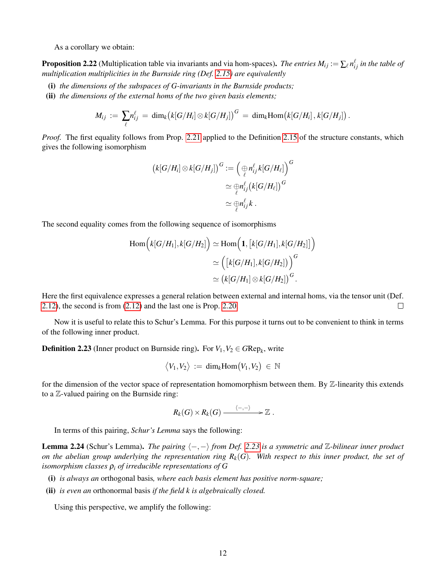As a corollary we obtain:

<span id="page-11-0"></span>**Proposition 2.22** (Multiplication table via invariants and via hom-spaces). *The entries*  $M_{ij} := \sum_{\ell} n_{ij}^{\ell}$  *in the table of multiplication multiplicities in the Burnside ring (Def. [2.15\)](#page-8-3) are equivalently*

- (i) *the dimensions of the subspaces of G-invariants in the Burnside products;*
- (ii) *the dimensions of the external homs of the two given basis elements;*

$$
M_{ij} := \sum_{\ell} n_{ij}^{\ell} = \dim_k \bigl( k[G/H_i] \otimes k[G/H_j] \bigr)^G = \dim_k \text{Hom}\bigl( k[G/H_i] \,, k[G/H_j] \bigr) \,.
$$

*Proof.* The first equality follows from Prop. [2.21](#page-10-0) applied to the Definition [2.15](#page-8-3) of the structure constants, which gives the following isomorphism

$$
\begin{aligned} \left(k[G/H_i] \otimes k[G/H_j]\right)^G &:= \left(\underset{\ell}{\underset{\ell}{\oplus}} n_{ij}^{\ell} k[G/H_{\ell}]\right)^G \\ &\simeq \underset{\ell}{\underset{\ell}{\oplus}} n_{ij}^{\ell} \left(k[G/H_{\ell}]\right)^G \\ &\simeq \underset{\ell}{\underset{\ell}{\oplus}} n_{ij}^{\ell} k \ .\end{aligned}
$$

The second equality comes from the following sequence of isomorphisms

$$
\text{Hom}\Big(k[G/H_1], k[G/H_2]\Big) \simeq \text{Hom}\Big(\mathbf{1}, [k[G/H_1], k[G/H_2]\big]\Big) \simeq \Big([k[G/H_1], k[G/H_2]\big)\Big)^G \simeq \big(k[G/H_1] \otimes k[G/H_2]\big)^G.
$$

Here the first equivalence expresses a general relation between external and internal homs, via the tensor unit (Def. [2.12\)](#page-8-6), the second is from [\(2.12\)](#page-8-6) and the last one is Prop. [2.20.](#page-10-1)  $\Box$ 

Now it is useful to relate this to Schur's Lemma. For this purpose it turns out to be convenient to think in terms of the following inner product.

<span id="page-11-1"></span>**Definition 2.23** (Inner product on Burnside ring). For  $V_1, V_2 \in GRep_k$ , write

$$
\big\langle V_1,V_2\big\rangle\,:=\,\text{dim}_k\text{Hom}\big(V_1,V_2\big)\,\in\,\mathbb{N}
$$

for the dimension of the vector space of representation homomorphism between them. By Z-linearity this extends to a Z-valued pairing on the Burnside ring:

$$
R_k(G)\times R_k(G)\xrightarrow{\langle-,-\rangle} \mathbb{Z}.
$$

In terms of this pairing, *Schur's Lemma* says the following:

<span id="page-11-3"></span>**Lemma 2.24** (Schur's Lemma). *The pairing*  $\langle -, - \rangle$  *from Def.* [2.23](#page-11-1) *is a symmetric and* Z-bilinear *inner product on the abelian group underlying the representation ring*  $R_k(G)$ *. With respect to this inner product, the set of isomorphism classes*  $\rho_i$  *of irreducible representations of G* 

- (i) *is always an* orthogonal basis*, where each basis element has positive norm-square;*
- (ii) *is even an* orthonormal basis *if the field k is algebraically closed.*

<span id="page-11-2"></span>Using this perspective, we amplify the following: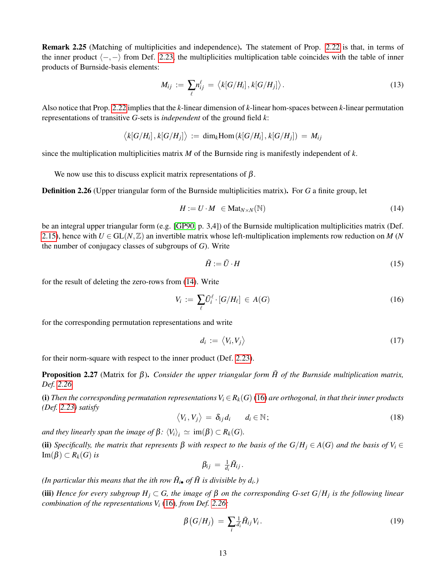Remark 2.25 (Matching of multiplicities and independence). The statement of Prop. [2.22](#page-11-0) is that, in terms of the inner product  $\langle -, - \rangle$  from Def. [2.23,](#page-11-1) the multiplicities multiplication table coincides with the table of inner products of Burnside-basis elements:

<span id="page-12-3"></span>
$$
M_{ij} := \sum_{\ell} n_{ij}^{\ell} = \langle k[G/H_i], k[G/H_j] \rangle.
$$
 (13)

Also notice that Prop. [2.22](#page-11-0) implies that the *k*-linear dimension of *k*-linear hom-spaces between *k*-linear permutation representations of transitive *G*-sets is *independent* of the ground field *k*:

 $\langle k[G/H_i], k[G/H_j] \rangle := \dim_k \text{Hom}\left(k[G/H_i], k[G/H_j]\right) = M_{ij}$ 

since the multiplication multiplicities matrix *M* of the Burnside ring is manifestly independent of *k*.

We now use this to discuss explicit matrix representations of  $\beta$ .

<span id="page-12-1"></span>Definition 2.26 (Upper triangular form of the Burnside multiplicities matrix). For *G* a finite group, let

<span id="page-12-0"></span>
$$
H := U \cdot M \in \text{Mat}_{N \times N}(\mathbb{N}) \tag{14}
$$

be an integral upper triangular form (e.g. [\[GP90,](#page-23-19) p. 3,4]) of the Burnside multiplication multiplicities matrix (Def. [2.15\)](#page-8-3), hence with  $U \in GL(N, \mathbb{Z})$  an invertible matrix whose left-multiplication implements row reduction on *M* (*N* the number of conjugacy classes of subgroups of *G*). Write

<span id="page-12-6"></span>
$$
\tilde{H} := \tilde{U} \cdot H \tag{15}
$$

for the result of deleting the zero-rows from [\(14\)](#page-12-0). Write

<span id="page-12-2"></span>
$$
V_i := \sum_{\ell} \tilde{U}_i^{\ell} \cdot [G/H_{\ell}] \in A(G) \tag{16}
$$

for the corresponding permutation representations and write

$$
d_i := \langle V_i, V_j \rangle \tag{17}
$$

for their norm-square with respect to the inner product (Def. [2.23\)](#page-11-1).

<span id="page-12-7"></span>Proposition 2.27 (Matrix for β). *Consider the upper triangular form H of the Burnside multiplication matrix,* ˜ *Def. [2.26.](#page-12-1)*

(i) Then the corresponding permutation representations  $V_i \in R_k(G)$  [\(16\)](#page-12-2) are orthogonal, in that their inner products *(Def. [2.23\)](#page-11-1) satisfy*

<span id="page-12-4"></span>
$$
\langle V_i, V_j \rangle = \delta_{ij} d_i \qquad d_i \in \mathbb{N}; \tag{18}
$$

*and they linearly span the image of*  $\beta$ *:*  $\langle V_i \rangle$ <sub>*i*</sub>  $\simeq$  im( $\beta$ ) ⊂  $R_k(G)$ *.* 

(ii) *Specifically, the matrix that represents*  $\beta$  *with respect to the basis of the G*/ $H_i \in A(G)$  *and the basis of*  $V_i \in$ Im(β) ⊂ *Rk*(*G*) *is*

$$
\beta_{ij} = \tfrac{1}{d_i} \tilde{H}_{ij}.
$$

*(In particular this means that the ith row*  $\tilde{H}_{i\bullet}$  *of*  $\tilde{H}$  *is divisible by*  $d_i$ *.)* 

(iii) *Hence for every subgroup H<sup>j</sup>* ⊂ *G, the image of* β *on the corresponding G-set G*/*H<sup>j</sup> is the following linear combination of the representations V<sup>i</sup>* [\(16\)](#page-12-2)*, from Def. [2.26:](#page-12-1)*

<span id="page-12-5"></span>
$$
\beta\big(G/H_j\big) \,=\, \sum_i \frac{1}{d_i} \tilde{H}_{ij} V_i \,. \tag{19}
$$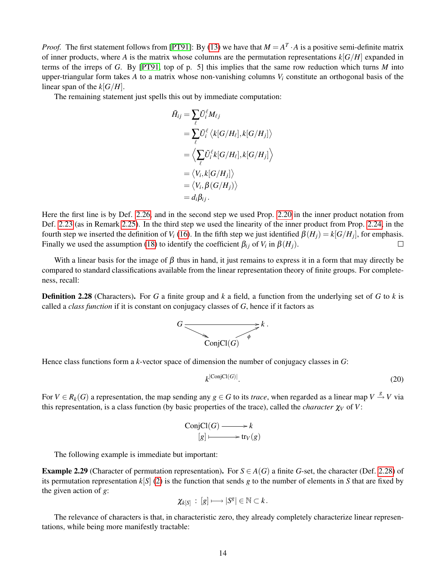*Proof.* The first statement follows from [\[PT91\]](#page-24-21): By [\(13\)](#page-12-3) we have that  $M = A^T \cdot A$  is a positive semi-definite matrix of inner products, where *A* is the matrix whose columns are the permutation representations  $k[G/H]$  expanded in terms of the irreps of *G*. By [\[PT91,](#page-24-21) top of p. 5] this implies that the same row reduction which turns *M* into upper-triangular form takes  $\vec{A}$  to a matrix whose non-vanishing columns  $V_i$  constitute an orthogonal basis of the linear span of the  $k[G/H]$ .

The remaining statement just spells this out by immediate computation:

$$
\begin{aligned} \tilde{H}_{ij} &= \sum_\ell \tilde{U}_i^\ell M_{\ell j} \\ &= \sum_\ell \tilde{U}_i^\ell \left\langle k[G/H_\ell], k[G/H_j] \right\rangle \\ &= \left\langle \sum_\ell \tilde{U}_i^\ell k[G/H_\ell], k[G/H_j] \right\rangle \\ &= \left\langle V_i, k[G/H_j] \right\rangle \\ &= \left\langle V_i, \beta(G/H_j) \right\rangle \\ &= d_i \beta_{ij} \,. \end{aligned}
$$

Here the first line is by Def. [2.26,](#page-12-1) and in the second step we used Prop. [2.20](#page-10-1) in the inner product notation from Def. [2.23](#page-11-1) (as in Remark [2.25\)](#page-11-2). In the third step we used the linearity of the inner product from Prop. [2.24,](#page-11-3) in the fourth step we inserted the definition of *V*<sub>*i*</sub> [\(16\)](#page-12-2). In the fifth step we just identified  $\beta(H_j) = k[G/H_j]$ , for emphasis. Finally we used the assumption [\(18\)](#page-12-4) to identify the coefficient  $\beta_{ij}$  of  $V_i$  in  $\beta(H_j)$ .  $\Box$ 

With a linear basis for the image of  $\beta$  thus in hand, it just remains to express it in a form that may directly be compared to standard classifications available from the linear representation theory of finite groups. For completeness, recall:

<span id="page-13-0"></span>Definition 2.28 (Characters). For *G* a finite group and *k* a field, a function from the underlying set of *G* to *k* is called a *class function* if it is constant on conjugacy classes of *G*, hence if it factors as



Hence class functions form a *k*-vector space of dimension the number of conjugacy classes in *G*:

<span id="page-13-2"></span>
$$
k^{\left|\operatorname{ConjCl}(G)\right|}.\tag{20}
$$

For  $V \in R_k(G)$  a representation, the map sending any  $g \in G$  to its *trace*, when regarded as a linear map  $V \stackrel{g}{\to} V$  via this representation, is a class function (by basic properties of the trace), called the *character*  $\chi_V$  of *V*:

ConjCl(*G*) 
$$
\longrightarrow k
$$
  
\n $[g] \longmapsto \text{tr}_V(g)$ 

The following example is immediate but important:

<span id="page-13-1"></span>**Example 2.29** (Character of permutation representation). For  $S \in A(G)$  a finite *G*-set, the character (Def. [2.28\)](#page-13-0) of its permutation representation  $k[S]$  [\(2\)](#page-4-0) is the function that sends *g* to the number of elements in *S* that are fixed by the given action of *g*:

$$
\chi_{k[S]} \,:\, [g]\longmapsto |S^g|\in \mathbb{N}\subset k\,.
$$

<span id="page-13-3"></span>The relevance of characters is that, in characteristic zero, they already completely characterize linear representations, while being more manifestly tractable: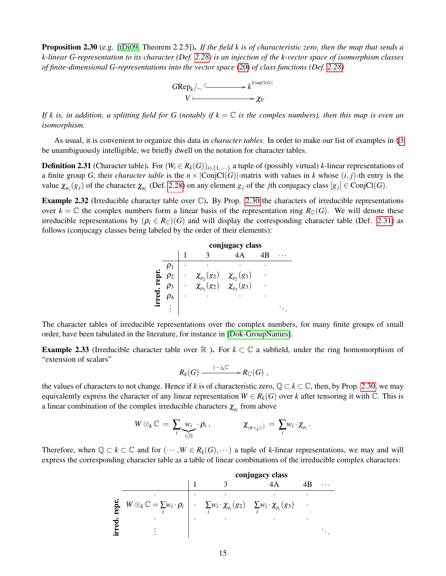Proposition 2.30 (e.g. [\[tDi09,](#page-24-18) Theorem 2.2.5]). *If the field k is of characteristic zero, then the map that sends a k-linear G-representation to its character (Def. [2.28\)](#page-13-0) is an injection of the k-vector space of isomorphism classes of finite-dimensional G-representations into the vector space* [\(20\)](#page-13-2) *of class functions (Def. [2.28\)](#page-13-0)*



*If k is, in addition, a splitting field for G (notably if k* = C *is the complex numbers), then this map is even an isomorphism.*

As usual, it is convenient to organize this data in *character tables*. In order to make our list of examples in [§3](#page-17-0) be unambiguously intelligible, we briefly dwell on the notation for character tables.

<span id="page-14-0"></span>**Definition 2.31** (Character table). For  $(W_i \in R_k(G))_{i \in \{1,\dots, n\}}$  a tuple of (possibly virtual) *k*-linear representations of a finite group *G*, their *character table* is the  $n \times |ConjCl(G)|$ -matrix with values in *k* whose  $(i, j)$ -th entry is the value  $\chi_{W_i}(g_j)$  of the character  $\chi_{W_i}$  (Def. [2.28\)](#page-13-0) on any element  $g_j$  of the *j*th conjugacy class  $[g_j] \in \text{ConjCl}(G)$ .

<span id="page-14-1"></span>Example 2.32 (Irreducible character table over C). By Prop. [2.30](#page-13-3) the characters of irreducible representations over  $k = \mathbb{C}$  the complex numbers form a linear basis of the representation ring  $R_{\mathbb{C}}(G)$ . We will denote these irreducible representations by  $(\rho_i \in R_{\mathbb{C}})(G)$  and will display the corresponding character table (Def. [2.31\)](#page-14-0) as follows (conjucagy classes being labeled by the order of their elements):

|       |  |                                                                                        | conjugacy class |  |
|-------|--|----------------------------------------------------------------------------------------|-----------------|--|
|       |  |                                                                                        |                 |  |
|       |  |                                                                                        |                 |  |
| repr. |  |                                                                                        |                 |  |
|       |  | $\chi_{\rho_2}(g_2)$ $\chi_{\rho_2}(g_3)$<br>$\chi_{\rho_3}(g_2)$ $\chi_{\rho_3}(g_3)$ |                 |  |
|       |  |                                                                                        |                 |  |
|       |  |                                                                                        |                 |  |

The character tables of irreducible representations over the complex numbers, for many finite groups of small order, have been tabulated in the literature, for instance in [\[Dok-GroupNames\]](#page-25-2).

<span id="page-14-2"></span>**Example 2.33** (Irreducible character table over  $\mathbb{R}$  ). For  $k \subset \mathbb{C}$  a subfield, under the ring homomorphism of "extension of scalars"

$$
R_k(G) \xrightarrow{(-)_k\mathbb{C}} R_{\mathbb{C}}(G) ,
$$

the values of characters to not change. Hence if *k* is of characteristic zero,  $\mathbb{Q} \subset k \subset \mathbb{C}$ , then, by Prop. [2.30,](#page-13-3) we may equivalently express the character of any linear representation  $W \in R_k(G)$  over *k* after tensoring it with  $\mathbb{C}$ . This is a linear combination of the complex irreducible characters  $\chi_{\rho_i}$  from above

$$
W\otimes_k \mathbb{C} = \sum_i \underbrace{w_i}_{\in \mathbb{N}} \cdot \rho_i , \qquad \qquad \mathcal{X}_{(W\otimes_k \mathbb{C})} = \sum_i w_i \cdot \mathcal{X}_{\rho_i} .
$$

Therefore, when  $\mathbb{Q} \subset k \subset \mathbb{C}$  and for  $(\cdots, W \in R_k(G), \cdots)$  a tuple of *k*-linear representations, we may and will express the corresponding character table as a table of linear combinations of the irreducible complex characters:

conjugacy class

\n
$$
\begin{array}{c|cccc}\n & 1 & 3 & 4A & 4B & \dots \\
\hline\n\vdots & & & \ddots & \\
\hline\n\vdots & & & \ddots & \\
\hline\n\vdots & & & \ddots & \\
\hline\n\vdots & & & \ddots & \\
\hline\n\vdots & & & \ddots & \\
\hline\n\end{array}
$$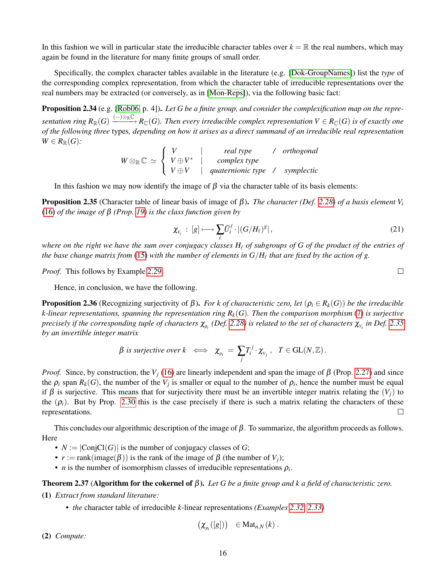In this fashion we will in particular state the irreducible character tables over  $k = \mathbb{R}$  the real numbers, which may again be found in the literature for many finite groups of small order.

Specifically, the complex character tables available in the literature (e.g. [\[Dok-GroupNames\]](#page-25-2)) list the *type* of the corresponding complex representation, from which the character table of irreducible representations over the real numbers may be extracted (or conversely, as in [\[Mon-Reps\]](#page-25-3)), via the following basic fact:

Proposition 2.34 (e.g. [\[Rob06,](#page-24-19) p. 4]). *Let G be a finite group, and consider the complexification map on the repre-* $Sentation$   $ring$   $R_\mathbb{R}(G) \xrightarrow{(-)\otimes_\mathbb{R} \mathbb{C}} R_\mathbb{C}(G)$ . Then every irreducible complex representation  $V \in R_\mathbb{C}(G)$  is of exactly one *of the following three* types*, depending on how it arises as a direct summand of an irreducible real representation*  $W \in R_{\mathbb{R}}(G)$ :

$$
W \otimes_{\mathbb{R}} \mathbb{C} \simeq \left\{ \begin{array}{ccc} V & | & real type & / \ or thogonal \\ V \oplus V & | & complex type \\ V \oplus V & | \quad quaternionic type & / \ \text{symplectic} \end{array} \right.
$$

In this fashion we may now identify the image of  $\beta$  via the character table of its basis elements:

<span id="page-15-1"></span>Proposition 2.35 (Character table of linear basis of image of β). *The character (Def. [2.28\)](#page-13-0) of a basis element V<sup>i</sup>* [\(16\)](#page-12-2) *of the image of* β *(Prop. [19\)](#page-12-5) is the class function given by*

<span id="page-15-2"></span>
$$
\chi_{V_i} : [g] \longmapsto \sum_{\ell} \tilde{U}_i^{\ell} \cdot |(G/H_{\ell})^g|, \qquad (21)
$$

*where on the right we have the sum over conjugacy classes*  $H_\ell$  *of subgroups of G of the product of the entries of* the base change matrix from  $(15)$  with the number of elements in  $G/H_\ell$  that are fixed by the action of g.

*Proof.* This follows by Example [2.29.](#page-13-1)

Hence, in conclusion, we have the following.

**Proposition 2.36** (Recognizing surjectivity of β). *For k of characteristic zero, let* ( $ρ<sub>i</sub> ∈ R<sub>k</sub>(G)$ ) *be the irreducible k-linear representations, spanning the representation ring Rk*(*G*)*. Then the comparison morphism* [\(7\)](#page-5-1) *is surjective*  $p$ recisely if the corresponding tuple of characters  $\chi_{\rho_i}$  (Def. [2.28\)](#page-13-0) is related to the set of characters  $\chi_{\nu_i}$  in Def. [2.35](#page-15-1) *by an invertible integer matrix*

$$
\beta \text{ is surjective over } k \iff \chi_{\rho_i} = \sum_j T_i^j \cdot \chi_{v_j}, \quad T \in GL(N, \mathbb{Z}).
$$

*Proof.* Since, by construction, the  $V_i$  [\(16\)](#page-12-2) are linearly independent and span the image of  $\beta$  (Prop. [2.27\)](#page-12-7) and since the  $\rho_i$  span  $R_k(G)$ , the number of the  $V_j$  is smaller or equal to the number of  $\rho_i$ , hence the number must be equal if β is surjective. This means that for surjectivity there must be an invertible integer matrix relating the  $(V_i)$  to the  $(\rho_i)$ . But by Prop. [2.30](#page-13-3) this is the case precisely if there is such a matrix relating the characters of these representations.  $\Box$ 

This concludes our algorithmic description of the image of  $\beta$ . To summarize, the algorithm proceeds as follows. Here

- $N := |ConjCl(G)|$  is the number of conjugacy classes of *G*;
- $r := \text{rank}(\text{image}(\beta))$  is the rank of the image of  $\beta$  (the number of  $V_i$ );
- *n* is the number of isomorphism classes of irreducible representations  $\rho_i$ .

### <span id="page-15-0"></span>Theorem 2.37 (Algorithm for the cokernel of β). *Let G be a finite group and k a field of characteristic zero.*

(1) *Extract from standard literature:*

*• the* character table of irreducible *k*-linear representations *(Examples [2.32,](#page-14-1) [2.33\)](#page-14-2)*

$$
\left(\chi_{\rho_i}([g])\right) \in \mathrm{Mat}_{n,N}(k) .
$$

(2) *Compute:*

 $\Box$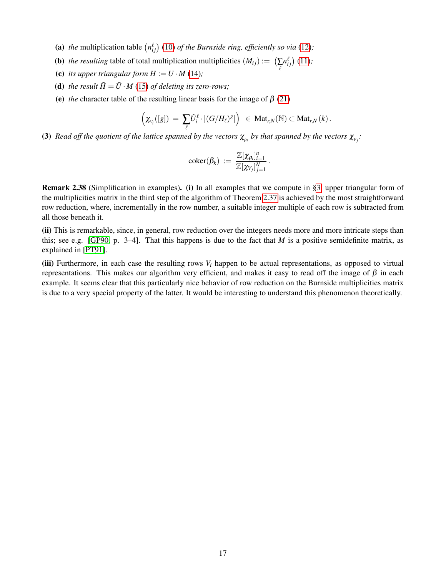- (a) the multiplication table  $\left(n_{ij}^{\ell}\right)$  [\(10\)](#page-8-5) *of the Burnside ring, efficiently so via* [\(12\)](#page-9-1);
- (**b**) *the resulting* table of total multiplication multiplicities  $(M_{ij}) := \left(\sum_{\ell} M_{\ell}^{\ell} \right)$  $n_{ij}^{\ell}$ ) [\(11\)](#page-8-1);
- (c) *its upper triangular form*  $H := U \cdot M$  *[\(14\)](#page-12-0);*
- (**d**) *the result*  $\tilde{H} = \tilde{U} \cdot M$  [\(15\)](#page-12-6) *of deleting its zero-rows;*
- (e) *the* character table of the resulting linear basis for the image of  $\beta$  [\(21\)](#page-15-2)

$$
\left(\chi_{_{V_i}}([g])\ =\ \sum_{\ell} \tilde{U}_i^{\ell}\cdot|(G/H_{\ell})^g|\right)\ \ \in\ \mathrm{Mat}_{r,N}(\mathbb{N})\subset \mathrm{Mat}_{r,N}\left(k\right).
$$

(3) *Read off the quotient of the lattice spanned by the vectors*  $\chi_{\rho_i}$  *by that spanned by the vectors*  $\chi_{v_j}$ *:* 

$$
\mathrm{coker}(\beta_k) \ := \ \frac{\mathbb{Z}[\chi_{\rho_i}]_{i=1}^n}{\mathbb{Z}[\chi_{V_j}]_{j=1}^N} \, .
$$

Remark 2.38 (Simplification in examples). (i) In all examples that we compute in [§3,](#page-17-0) upper triangular form of the multiplicities matrix in the third step of the algorithm of Theorem [2.37](#page-15-0) is achieved by the most straightforward row reduction, where, incrementally in the row number, a suitable integer multiple of each row is subtracted from all those beneath it.

(ii) This is remarkable, since, in general, row reduction over the integers needs more and more intricate steps than this; see e.g. [\[GP90,](#page-23-19) p. 3–4]. That this happens is due to the fact that *M* is a positive semidefinite matrix, as explained in [\[PT91\]](#page-24-21).

(iii) Furthermore, in each case the resulting rows  $V_i$  happen to be actual representations, as opposed to virtual representations. This makes our algorithm very efficient, and makes it easy to read off the image of  $\beta$  in each example. It seems clear that this particularly nice behavior of row reduction on the Burnside multiplicities matrix is due to a very special property of the latter. It would be interesting to understand this phenomenon theoretically.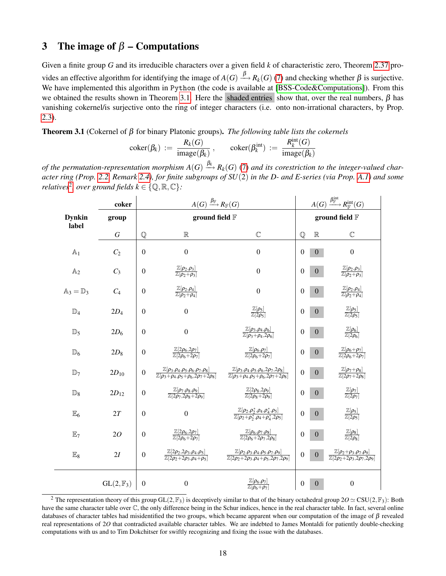# <span id="page-17-0"></span>3 The image of  $\beta$  – Computations

Given a finite group *G* and its irreducible characters over a given field *k* of characteristic zero, Theorem [2.37](#page-15-0) provides an effective algorithm for identifying the image of  $A(G) \stackrel{\beta}{\longrightarrow} R_k(G)$  [\(7\)](#page-5-1) and checking whether  $\beta$  is surjective. We have implemented this algorithm in Python (the code is available at [\[BSS-Code&Computations\]](#page-22-24)). From this we obtained the results shown in Theorem [3.1.](#page-17-1) Here the shaded entries show that, over the real numbers,  $\beta$  has vanishing cokernel/is surjective onto the ring of integer characters (i.e. onto non-irrational characters, by Prop. [2.3\)](#page-6-0).

<span id="page-17-1"></span>Theorem 3.1 (Cokernel of β for binary Platonic groups). *The following table lists the cokernels*

$$
coker(\beta_k) := \frac{R_k(G)}{image(\beta_k)}, \quad coker(\beta_k^{int}) := \frac{R_k^{int}(G)}{image(\beta_k)}
$$

of the permutation-representation morphism  $A(G) \stackrel{\beta_k}{\longrightarrow} R_k(G)$  [\(7\)](#page-5-1) and its corestriction to the integer-valued char*acter ring (Prop. [2.2,](#page-6-2) Remark [2.4\)](#page-6-3), for finite subgroups of SU*(2) *in the D- and E-series (via Prop. [A.1\)](#page-20-2) and some relatives*<sup>[2](#page-17-2)</sup>, over ground fields  $k \in \{Q, \mathbb{R}, \mathbb{C}\}$ :

|                               | coker                |                  | $A(G) \xrightarrow{\beta_{\mathbb{F}}} R_{\mathbb{F}}(G)$                                                               | $A(G) \xrightarrow{\beta^{\rm int}_{\mathbb F}} R^{\rm int}_{\mathbb F}(G)$                                               |                  |                  |                                                                                               |
|-------------------------------|----------------------|------------------|-------------------------------------------------------------------------------------------------------------------------|---------------------------------------------------------------------------------------------------------------------------|------------------|------------------|-----------------------------------------------------------------------------------------------|
| <b>Dynkin</b><br>label        | group                |                  | ground field $\mathbb F$                                                                                                | ground field $\mathbb F$                                                                                                  |                  |                  |                                                                                               |
|                               | G                    | ${\mathbb Q}$    | $\mathbb R$                                                                                                             | $\mathbb{C}$                                                                                                              | $\mathbb{Q}$     | $\mathbb R$      | $\mathbb C$                                                                                   |
| $\mathbb{A}_1$                | C <sub>2</sub>       | $\mathbf{0}$     | $\boldsymbol{0}$                                                                                                        | $\boldsymbol{0}$                                                                                                          | $\mathbf{0}$     | $\mathbf{0}$     | $\boldsymbol{0}$                                                                              |
| A <sub>2</sub>                | $C_3$                | $\mathbf{0}$     | $\frac{\mathbb{Z}[\rho_2,\rho_3]}{\mathbb{Z}[\rho_2+\rho_3]}$                                                           | $\boldsymbol{0}$                                                                                                          | $\mathbf{0}$     | $\boldsymbol{0}$ | $\frac{\mathbb{Z}[\rho_2,\rho_3]}{\mathbb{Z}[\rho_2+\rho_3]}$                                 |
| $\mathbb{A}_3 = \mathbb{D}_3$ | $C_4$                | $\mathbf{0}$     | $\frac{\mathbb{Z}[\rho_2,\rho_4]}{\mathbb{Z}[\rho_2+\rho_4]}$                                                           | $\boldsymbol{0}$                                                                                                          | $\overline{0}$   | $\boldsymbol{0}$ | $\frac{\mathbb{Z}[\rho_2,\rho_4]}{\mathbb{Z}[\rho_2+\rho_4]}$                                 |
| $\mathbb{D}_4$                | $2D_4$               | $\mathbf{0}$     | $\boldsymbol{0}$                                                                                                        | $\frac{\mathbb{Z}[\rho_5]}{\mathbb{Z}[2\rho_5]}$                                                                          | $\overline{0}$   | $\boldsymbol{0}$ | $\frac{\mathbb{Z}[\rho_5]}{\mathbb{Z}[2\rho_5]}$                                              |
| $\mathbb{D}_5$                | $2D_6$               | $\boldsymbol{0}$ | $\boldsymbol{0}$                                                                                                        | $\frac{\mathbb{Z}[\rho_3,\rho_4,\rho_6]}{\mathbb{Z}[\rho_3+\rho_4,2\rho_6]}$                                              | $\boldsymbol{0}$ | $\mathbf{0}$     | $\frac{\mathbb{Z}[\rho_6]}{\mathbb{Z}[2\rho_6]}$                                              |
| $\mathbb{D}_6$                | $2D_8$               | $\mathbf{0}$     | $\frac{\mathbb{Z}[2\rho_6, 2\rho_7]}{\mathbb{Z}[2\rho_6 + 2\rho_7]}$                                                    | $\frac{\mathbb{Z}[\rho_6,\rho_7]}{\mathbb{Z}[2\rho_6+2\rho_7]}$                                                           | $\overline{0}$   | $\mathbf{0}$     | $\frac{\mathbb{Z}[\rho_6+\rho_7]}{\mathbb{Z}[2\rho_6+2\rho_7]}$                               |
| $\mathbb{D}_7$                | $2D_{10}$            | $\boldsymbol{0}$ | $\frac{\mathbb{Z}[\rho_3,\rho_4,\rho_5,\rho_6,\rho_7,\rho_8]}{\mathbb{Z}[\rho_3+\rho_4,\rho_5+\rho_6,2\rho_7+2\rho_8]}$ | $\frac{\mathbb{Z}[\rho_3,\rho_4,\rho_5,\rho_6,2\rho_7,2\rho_8]}{\mathbb{Z}[\rho_3+\rho_4,\rho_5+\rho_6,2\rho_7+2\rho_8]}$ | $\mathbf{0}$     | $\boldsymbol{0}$ | $\frac{\mathbb{Z}[\rho_7+\rho_8]}{\mathbb{Z}[2\rho_7+2\rho_8]}$                               |
| $\mathbb{D}_8$                | $2D_{12}$            | $\boldsymbol{0}$ | $\frac{\mathbb{Z}[\rho_7,\rho_8,\rho_9]}{\mathbb{Z}[2\rho_7,2\rho_8+2\rho_9]}$                                          | $\frac{\mathbb{Z}[2\rho_8, 2\rho_9]}{\mathbb{Z}[2\rho_8 + 2\rho_9]}$                                                      | $\overline{0}$   | $\overline{0}$   | $\frac{\mathbb{Z}[\rho_7]}{\mathbb{Z}[2\rho_7]}$                                              |
| $\mathbb{E}_6$                | 2T                   | $\mathbf{0}$     | $\boldsymbol{0}$                                                                                                        | $\frac{\mathbb{Z}[\rho_2,\rho_2^*,\rho_4,\rho_4^*,\rho_5]}{\mathbb{Z}[\rho_2+\rho_2^*,\rho_4+\rho_4^*,2\rho_5]}$          | $\boldsymbol{0}$ | $\mathbf{0}$     | $\frac{\mathbb{Z}[\rho_5]}{\mathbb{Z}[2\rho_5]}$                                              |
| $\mathbb{E}_7$                | 2O                   | $\mathbf{0}$     | $\frac{\mathbb{Z}[2\rho_6,2\rho_7]}{\mathbb{Z}[2\rho_6+2\rho_7]}$                                                       | $\frac{\mathbb{Z}[\rho_6,\rho_7,\rho_8]}{\mathbb{Z}[2\rho_6+2\rho_7,2\rho_8]}$                                            | $\boldsymbol{0}$ | $\boldsymbol{0}$ | $\frac{\mathbb{Z}[\rho_8]}{\mathbb{Z}[2\rho_8]}$                                              |
| $\mathbb{E}_8$                | 2I                   | $\boldsymbol{0}$ | $\frac{\mathbb{Z}[2\rho_2,2\rho_3,\rho_4,\rho_5]}{\mathbb{Z}[2\rho_2+2\rho_3,\rho_4+\rho_5]}$                           | $\frac{\mathbb{Z}[\rho_2,\rho_3,\rho_4,\rho_5,\rho_7,\rho_9]}{\mathbb{Z}[2\rho_2+2\rho_3,\rho_4+\rho_5,2\rho_7,2\rho_9]}$ | $\overline{0}$   | $\boldsymbol{0}$ | $\frac{\mathbb{Z}[\rho_2+\rho_3,\rho_7,\rho_9]}{\mathbb{Z}[2\rho_2+2\rho_3,2\rho_7,2\rho_9]}$ |
|                               | $GL(2,\mathbb{F}_3)$ | $\boldsymbol{0}$ | $\overline{0}$                                                                                                          | $\frac{\mathbb{Z}[\rho_6,\rho_7]}{\mathbb{Z}[\rho_6+\rho_7]}$                                                             | $\mathbf{0}$     | $\overline{0}$   | $\boldsymbol{0}$                                                                              |

<span id="page-17-2"></span><sup>&</sup>lt;sup>2</sup> The representation theory of this group GL(2,  $\mathbb{F}_3$ ) is deceptively similar to that of the binary octahedral group  $20 \simeq \text{CSU}(2,\mathbb{F}_3)$ : Both have the same character table over  $\mathbb C$ , the only difference being in the Schur indices, hence in the real character table. In fact, several online databases of character tables had misidentified the two groups, which became apparent when our computation of the image of  $\beta$  revealed real representations of 20 that contradicted available character tables. We are indebted to James Montaldi for patiently double-checking computations with us and to Tim Dokchitser for swiftly recognizing and fixing the issue with the databases.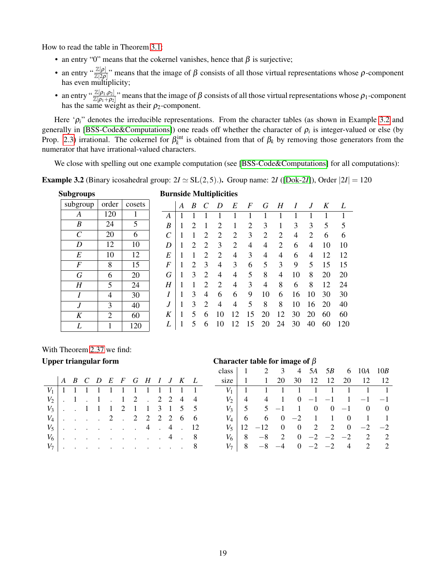How to read the table in Theorem [3.1:](#page-17-1)

- an entry "0" means that the cokernel vanishes, hence that  $\beta$  is surjective;
- an entry " $\frac{\mathbb{Z}[\rho]}{\mathbb{Z}[2\rho]}$ " means that the image of  $\beta$  consists of all those virtual representations whose  $\rho$ -component has even multiplicity;
- an entry " $\frac{\mathbb{Z}[\rho_1,\rho_2]}{\mathbb{Z}[\rho_1+\rho_2]}$ " means that the image of  $\beta$  consists of all those virtual representations whose  $\rho_1$ -component has the same weight as their  $\rho_2$ -component.

Here ' $ρ<sub>i</sub>$ " denotes the irreducible representations. From the character tables (as shown in Example [3.2](#page-18-0) and generally in [\[BSS-Code&Computations\]](#page-22-24)) one reads off whether the character of  $\rho_i$  is integer-valued or else (by Prop. [2.3\)](#page-6-0) irrational. The cokernel for  $\beta_k^{\text{int}}$  is obtained from that of  $\beta_k$  by removing those generators from the numerator that have irrational-valued characters.

We close with spelling out one example computation (see [\[BSS-Code&Computations\]](#page-22-24) for all computations):

<span id="page-18-0"></span>**Example 3.2** (Binary icosahedral group:  $2I \simeq SL(2,5)$ .). Group name: 2*I* ([\[Dok-2](#page-25-4)*I*]), Order  $|2I| = 120$ 

| <b>Subgroups</b>      |                |        |  |  |  |  |  |  |  |  |
|-----------------------|----------------|--------|--|--|--|--|--|--|--|--|
| subgroup              | order          | cosets |  |  |  |  |  |  |  |  |
| A                     | 120            | 1      |  |  |  |  |  |  |  |  |
| B                     | 24             | 5      |  |  |  |  |  |  |  |  |
| $\mathcal{C}_{0}^{0}$ | 20             | 6      |  |  |  |  |  |  |  |  |
| D                     | 12             | 10     |  |  |  |  |  |  |  |  |
| E                     | 10             | 12     |  |  |  |  |  |  |  |  |
| F                     | 8              | 15     |  |  |  |  |  |  |  |  |
| G                     | 6              | 20     |  |  |  |  |  |  |  |  |
| H                     | 5              | 24     |  |  |  |  |  |  |  |  |
| I                     | $\overline{4}$ | 30     |  |  |  |  |  |  |  |  |
| J                     | 3              | 40     |  |  |  |  |  |  |  |  |
| K                     | $\overline{2}$ | 60     |  |  |  |  |  |  |  |  |
| L                     | 1              | 120    |  |  |  |  |  |  |  |  |

### **Burnside Multiplicities**

|                       | А | B | C              | D  | E              | F              | G  | H  | I  | J  | K  | L   |
|-----------------------|---|---|----------------|----|----------------|----------------|----|----|----|----|----|-----|
| А                     |   |   | 1              | 1  | 1              | 1              | 1  | 1  | 1  | 1  | 1  | 1   |
| B                     | 1 | 2 | 1              | 2  | 1              | $\overline{c}$ | 3  | 1  | 3  | 3  | 5  | 5   |
| $\mathcal{C}_{0}^{0}$ | 1 | 1 | 2              | 2  | $\overline{c}$ | 3              | 2  | 2  | 4  | 2  | 6  | 6   |
| D                     | 1 | 2 | 2              | 3  | $\overline{c}$ | 4              | 4  | 2  | 6  | 4  | 10 | 10  |
| E                     | 1 | 1 | 2              | 2  | $\overline{4}$ | 3              | 4  | 4  | 6  | 4  | 12 | 12  |
| $\boldsymbol{F}$      | 1 | 2 | 3              | 4  | 3              | 6              | 5  | 3  | 9  | 5  | 15 | 15  |
| G                     | 1 | 3 | 2              | 4  | 4              | 5              | 8  | 4  | 10 | 8  | 20 | 20  |
| Η                     | 1 | 1 | 2              | 2  | $\overline{4}$ | 3              | 4  | 8  | 6  | 8  | 12 | 24  |
| I                     | 1 | 3 | 4              | 6  | 6              | 9              | 10 | 6  | 16 | 10 | 30 | 30  |
| $\boldsymbol{J}$      | 1 | 3 | $\overline{2}$ | 4  | 4              | 5              | 8  | 8  | 10 | 16 | 20 | 40  |
| K                     | 1 | 5 | 6              | 10 | 12             | 15             | 20 | 12 | 30 | 20 | 60 | 60  |
| L                     |   | 5 | 6              | 10 | 12             | 15             | 20 | 24 | 30 | 40 | 60 | 120 |
|                       |   |   |                |    |                |                |    |    |    |    |    |     |

With Theorem [2.37](#page-15-0) we find:

| $V_1$ 1 1 1 1 1 1 1 1 1 1 1 1 1 |  |  |  |  |  |  |
|---------------------------------|--|--|--|--|--|--|
| $V_2$   . 1 . 1 . 1 2 . 2 2 4 4 |  |  |  |  |  |  |
| $V_3$ . 1 1 1 2 1 1 3 1 5 5     |  |  |  |  |  |  |
| $V_4$ 2 . 2 2 2 2 6 6           |  |  |  |  |  |  |
| $V_5$   4 . 4 . 12              |  |  |  |  |  |  |
| $V_6$ 4 . 8                     |  |  |  |  |  |  |
| $V_7$ 8                         |  |  |  |  |  |  |

#### Upper triangular form  $\Box$  Character table for image of β

|       |                                   | class 1 2 3 4 5A 5B 6 10A 10B                   |  |  |                      |  |
|-------|-----------------------------------|-------------------------------------------------|--|--|----------------------|--|
| size  |                                   | $\overline{1}$                                  |  |  | 20 30 12 12 20 12 12 |  |
| $V_1$ | $\begin{bmatrix} 1 \end{bmatrix}$ |                                                 |  |  | 1 1 1 1 1 1 1 1 1    |  |
|       |                                   |                                                 |  |  |                      |  |
|       |                                   |                                                 |  |  |                      |  |
|       |                                   | $V_4$   6 6 0 -2 1 1 0 1 1                      |  |  |                      |  |
|       | $V_5$   12                        | $-12$ 0 0 2 2 0 $-2$ $-2$                       |  |  |                      |  |
|       |                                   | $V_6$   8 -8 2 0 -2 -2 -2 2 2                   |  |  |                      |  |
| $V_7$ |                                   | $8 \t -8 \t -4 \t 0 \t -2 \t -2 \t 4 \t 2 \t 2$ |  |  |                      |  |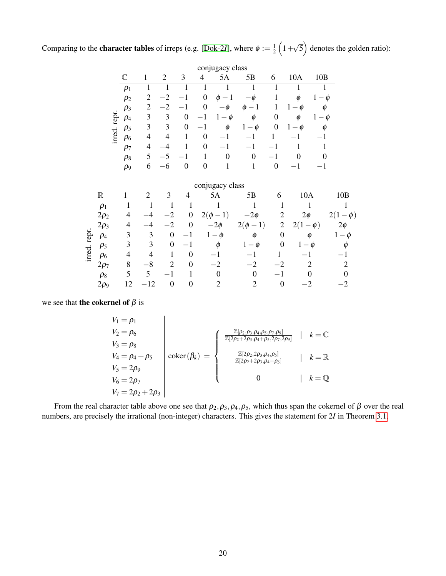Comparing to the **character tables** of irreps (e.g. [\[Dok-2](#page-25-4)*I*], where  $\phi := \frac{1}{2}$  $rac{1}{2}(1 +$ √  $\overline{5}$ ) denotes the golden ratio):

|        |             |                |                |                  |          | conjugacy class |                |   |     |                       |
|--------|-------------|----------------|----------------|------------------|----------|-----------------|----------------|---|-----|-----------------------|
|        | $\mathbb C$ |                | $\overline{2}$ | 3                | 4        | 5Α              | 5B             | 6 | 10A | 10B                   |
|        | $\rho_1$    |                |                |                  |          |                 |                |   |     |                       |
|        | $\rho_2$    | $\overline{c}$ | $-2$           |                  | $\theta$ | Ø               | $-\varnothing$ |   | Φ   | $\mathcal O$          |
|        | $\rho_3$    | 2              | $-2$           |                  | $\theta$ | Ø               | 1<br>Ø         | 1 | Ø   |                       |
| repr.  | $\rho_4$    | 3              | 3              | 0                |          | $\phi$          | φ              | 0 | Ø   | $-\mathbf{\emptyset}$ |
|        | $\rho_5$    | 3              | 3              | $\boldsymbol{0}$ |          | Φ               | Ø              | 0 | Ø   |                       |
| irred. | $\rho_6$    | 4              | 4              |                  | 0        |                 |                |   |     |                       |
|        | $\rho_7$    | 4              |                |                  | 0        | $-1$            | $-1$           |   |     |                       |
|        | $\rho_8$    |                |                |                  | 1        | 0               | 0              |   | 0   |                       |
|        | $\rho_9$    | 6              |                | 0                | 0        |                 |                | 0 |     |                       |

|        |             |                          |      |                |                  | conjugacy class                                           |                               |                |                                    |                            |
|--------|-------------|--------------------------|------|----------------|------------------|-----------------------------------------------------------|-------------------------------|----------------|------------------------------------|----------------------------|
|        | $\mathbb R$ |                          | 2    | 3              | 4                | 5A                                                        | 5B                            | 6              | 10A                                | 10B                        |
|        | $\rho_1$    |                          |      |                |                  |                                                           |                               |                |                                    |                            |
|        | $2\rho_2$   | 4                        |      |                | $\boldsymbol{0}$ | $\overline{2}$ (<br>$\perp$<br>$\boldsymbol{\varnothing}$ | $-2\phi$                      | $\overline{2}$ | $2\phi$                            | Ø                          |
|        | $2\rho_3$   | 4                        |      |                | $\boldsymbol{0}$ | $-2\phi$                                                  | $2(\phi$<br>$\qquad \qquad -$ | $\overline{2}$ | 2(1)<br>$\boldsymbol{\varnothing}$ | $2\phi$                    |
| repr.  | $\rho_4$    | 3                        | 3    | $\theta$       | — 1              | $\emptyset$<br>$\overline{\phantom{m}}$                   | Ø                             | 0              | 0                                  | $\boldsymbol{\varnothing}$ |
|        | $\rho_5$    | 3                        | 3    | $\theta$       | — 1              | O)                                                        | Ø                             | $\theta$       | 0                                  |                            |
| irred. | $\rho_6$    | 4                        |      |                | $\theta$         |                                                           |                               |                |                                    |                            |
|        | $2\rho_7$   | 8                        | $-8$ | $\overline{2}$ | 0                | $-2$                                                      | $-2$                          | -2             |                                    |                            |
|        | $\rho_8$    | $\overline{\mathcal{L}}$ | 5    |                |                  | $\theta$                                                  | 0                             |                |                                    |                            |
|        | $2\rho_9$   | 12                       | 12   | 0              | $\boldsymbol{0}$ | $\mathcal{D}_{\mathcal{A}}$                               | 2                             |                |                                    |                            |

we see that **the cokernel of**  $\beta$  is

$$
V_1 = \rho_1
$$
  
\n
$$
V_2 = \rho_6
$$
  
\n
$$
V_3 = \rho_8
$$
  
\n
$$
V_4 = \rho_4 + \rho_5
$$
  
\n
$$
V_5 = 2\rho_9
$$
  
\n
$$
V_6 = 2\rho_7
$$
  
\n
$$
V_7 = 2\rho_2 + 2\rho_3
$$
\n
$$
V_8 = \rho_8
$$
\n
$$
V_9 = \rho_9
$$
\n
$$
V_1 = \rho_9
$$
\n
$$
V_2 = \rho_9
$$
\n
$$
V_4 = \rho_4 + \rho_5
$$
\n
$$
V_5 = \rho_9
$$
\n
$$
V_6 = \rho_7
$$
\n
$$
V_7 = \rho_8
$$
\n
$$
V_8 = \rho_8
$$
\n
$$
V_9 = \rho_9
$$
\n
$$
V_9 = \rho_9
$$
\n
$$
V_1 = \rho_9
$$
\n
$$
V_2 = \rho_9
$$
\n
$$
V_4 = \rho_9
$$
\n
$$
V_5 = \rho_9
$$
\n
$$
V_6 = \rho_9
$$
\n
$$
V_7 = \rho_9
$$
\n
$$
V_8 = \rho_9
$$
\n
$$
V_9 = \rho_9
$$
\n
$$
V_9 = \rho_9
$$
\n
$$
V_9 = \rho_9
$$
\n
$$
V_9 = \rho_9
$$
\n
$$
V_9 = \rho_9
$$
\n
$$
V_9 = \rho_9
$$
\n
$$
V_9 = \rho_9
$$
\n
$$
V_9 = \rho_9
$$
\n
$$
V_9 = \rho_9
$$
\n
$$
V_9 = \rho_9
$$
\n
$$
V_9 = \rho_9
$$
\n
$$
V_9 = \rho_9
$$
\n
$$
V_9 = \rho_9
$$
\n
$$
V_9 = \rho_9
$$
\n
$$
V_9 = \rho_9
$$
\n
$$
V_9 =
$$

From the real character table above one see that  $\rho_2, \rho_3, \rho_4, \rho_5$ , which thus span the cokernel of  $\beta$  over the real numbers, are precisely the irrational (non-integer) characters. This gives the statement for 2*I* in Theorem [3.1.](#page-17-1)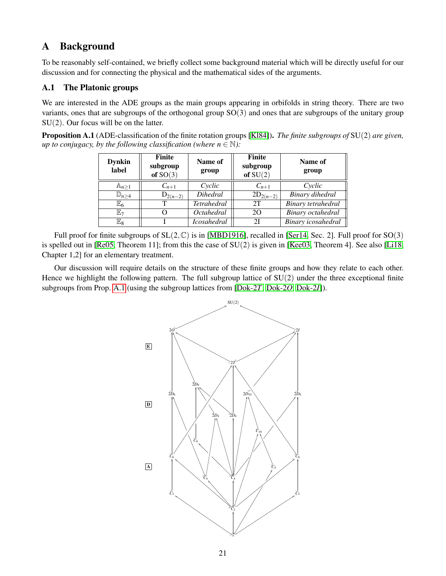# <span id="page-20-0"></span>A Background

To be reasonably self-contained, we briefly collect some background material which will be directly useful for our discussion and for connecting the physical and the mathematical sides of the arguments.

## <span id="page-20-1"></span>A.1 The Platonic groups

We are interested in the ADE groups as the main groups appearing in orbifolds in string theory. There are two variants, ones that are subgroups of the orthogonal group SO(3) and ones that are subgroups of the unitary group SU(2). Our focus will be on the latter.

<span id="page-20-2"></span>Proposition A.1 (ADE-classification of the finite rotation groups [\[Kl84\]](#page-23-20)). *The finite subgroups of* SU(2) *are given, up to conjugacy, by the following classification (where*  $n \in \mathbb{N}$ *):* 

| <b>Dynkin</b><br>label | Finite<br>subgroup<br>of $SO(3)$ | Name of<br>group   | <b>Finite</b><br>subgroup<br>of $SU(2)$ | Name of<br>group   |
|------------------------|----------------------------------|--------------------|-----------------------------------------|--------------------|
| $\mathbb{A}_{n\geq 1}$ | $C_{n+1}$                        | Cyclic             | $C_{n+1}$                               | Cyclic             |
| $\mathbb{D}_{n\geq 4}$ | $D_{2(n-2)}$                     | <b>Dihedral</b>    | $2D_{2(n-2)}$                           | Binary dihedral    |
| $\mathbb{E}_6$         | т                                | <b>Tetrahedral</b> | 2T                                      | Binary tetrahedral |
| $\mathbb{E}_7$         |                                  | <i>Octahedral</i>  | 20                                      | Binary octahedral  |
| $\mathbb{E}_8$         |                                  | <b>Icosahedral</b> | 21                                      | Binary icosahedral |

Full proof for finite subgroups of  $SL(2,\mathbb{C})$  is in [\[MBD1916\]](#page-23-21), recalled in [\[Ser14,](#page-24-22) Sec. 2]. Full proof for  $SO(3)$ is spelled out in [\[Re05,](#page-24-23) Theorem 11]; from this the case of  $SU(2)$  is given in [\[Kee03,](#page-23-22) Theorem 4]. See also [\[Li18,](#page-23-23) Chapter 1,2] for an elementary treatment.

Our discussion will require details on the structure of these finite groups and how they relate to each other. Hence we highlight the following pattern. The full subgroup lattice of  $SU(2)$  under the three exceptional finite subgroups from Prop. [A.1](#page-20-2) (using the subgroup lattices from [\[Dok-2](#page-25-5)*T*, [Dok-2](#page-25-6)*O*, [Dok-2](#page-25-4)*I*]).

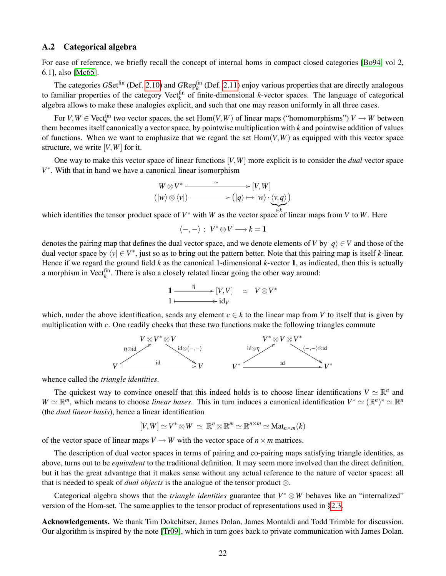### <span id="page-21-0"></span>A.2 Categorical algebra

For ease of reference, we briefly recall the concept of internal homs in compact closed categories [\[Bo94,](#page-22-23) vol 2, 6.1], also [\[Mc65\]](#page-23-17).

The categories  $GSet^{fin}$  (Def. [2.10\)](#page-7-4) and  $GRep_k^{fin}$  (Def. [2.11\)](#page-7-5) enjoy various properties that are directly analogous to familiar properties of the category Vect<sup>fin</sup> of finite-dimensional *k*-vector spaces. The language of categorical algebra allows to make these analogies explicit, and such that one may reason uniformly in all three cases.

For  $V, W \in \text{Vect}_{k}^{\text{fin}}$  two vector spaces, the set  $\text{Hom}(V, W)$  of linear maps ("homomorphisms")  $V \to W$  between them becomes itself canonically a vector space, by pointwise multiplication with *k* and pointwise addition of values of functions. When we want to emphasize that we regard the set  $Hom(V, W)$  as equipped with this vector space structure, we write [*V*,*W*] for it.

One way to make this vector space of linear functions [*V*,*W*] more explicit is to consider the *dual* vector space *V* ∗ . With that in hand we have a canonical linear isomorphism

$$
W \otimes V^* \xrightarrow{\simeq} [V, W] (|w\rangle \otimes \langle v|) \xrightarrow{\simeq} (|q\rangle \mapsto |w\rangle \cdot \langle v, q\rangle)
$$

which identifies the tensor product space of *V*<sup>\*</sup> with *W* as the vector space of linear maps from *V* to *W*. Here

$$
\langle -, - \rangle : V^* \otimes V \longrightarrow k = 1
$$

denotes the pairing map that defines the dual vector space, and we denote elements of *V* by  $|q\rangle \in V$  and those of the dual vector space by  $\langle v | \in V^*$ , just so as to bring out the pattern better. Note that this pairing map is itself *k*-linear. Hence if we regard the ground field  $k$  as the canonical 1-dimensional  $k$ -vector 1, as indicated, then this is actually a morphism in Vect<sup> $\hat{f}_k$ </sup>. There is also a closely related linear going the other way around:

$$
1 \xrightarrow{\eta} [V, V] \simeq V \otimes V^* 1 \longmapsto id_V
$$

which, under the above identification, sends any element  $c \in k$  to the linear map from *V* to itself that is given by multiplication with *c*. One readily checks that these two functions make the following triangles commute



whence called the *triangle identities*.

The quickest way to convince oneself that this indeed holds is to choose linear identifications  $V \simeq \mathbb{R}^n$  and  $W \simeq \mathbb{R}^m$ , which means to choose *linear bases*. This in turn induces a canonical identification  $V^* \simeq (\mathbb{R}^n)^* \simeq \mathbb{R}^n$ (the *dual linear basis*), hence a linear identification

$$
[V,W] \simeq V^* \otimes W \simeq \mathbb{R}^n \otimes \mathbb{R}^m \simeq \mathbb{R}^{n \times m} \simeq \mathrm{Mat}_{n \times m}(k)
$$

of the vector space of linear maps  $V \to W$  with the vector space of  $n \times m$  matrices.

The description of dual vector spaces in terms of pairing and co-pairing maps satisfying triangle identities, as above, turns out to be *equivalent* to the traditional definition. It may seem more involved than the direct definition, but it has the great advantage that it makes sense without any actual reference to the nature of vector spaces: all that is needed to speak of *dual objects* is the analogue of the tensor product ⊗.

Categorical algebra shows that the *triangle identities* guarantee that  $V^* \otimes W$  behaves like an "internalized" version of the Hom-set. The same applies to the tensor product of representations used in [§2.3.](#page-7-0)

Acknowledgements. We thank Tim Dokchitser, James Dolan, James Montaldi and Todd Trimble for discussion. Our algorithm is inspired by the note [\[Tr09\]](#page-24-24), which in turn goes back to private communication with James Dolan.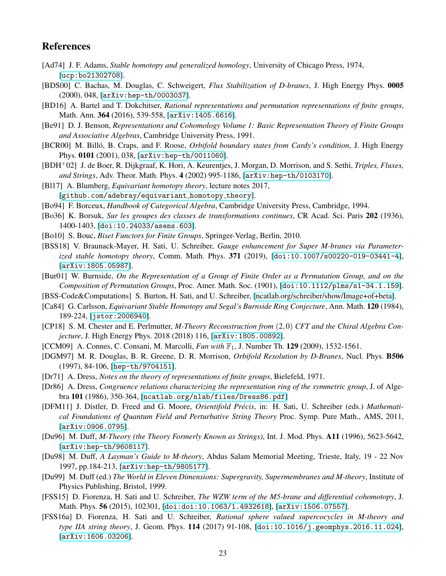## References

- <span id="page-22-13"></span>[Ad74] J. F. Adams, *Stable homotopy and generalized homology*, University of Chicago Press, 1974, [[ucp:bo21302708](https://www.press.uchicago.edu/ucp/books/book/chicago/S/bo21302708.html)].
- <span id="page-22-2"></span>[BDS00] C. Bachas, M. Douglas, C. Schweigert, *Flux Stabilization of D-branes*, J. High Energy Phys. 0005 (2000), 048, [[arXiv:hep-th/0003037](https://arxiv.org/abs/hep-th/0003037)].
- <span id="page-22-22"></span>[BD16] A. Bartel and T. Dokchitser, *Rational representations and permutation representations of finite groups*, Math. Ann. 364 (2016), 539-558, [[arXiv:1405.6616](https://arxiv.org/abs/1405.6616)].
- <span id="page-22-16"></span>[Be91] D. J. Benson, *Representations and Cohomology Volume 1: Basic Representation Theory of Finite Groups and Associative Algebras*, Cambridge University Press, 1991.
- <span id="page-22-3"></span>[BCR00] M. Billó, B. Craps, and F. Roose, *Orbifold boundary states from Cardy's condition*, J. High Energy Phys. 0101 (2001), 038, [[arXiv:hep-th/0011060](https://arxiv.org/abs/hep-th/0011060)].
- <span id="page-22-1"></span>[BDH+02] J. de Boer, R. Dijkgraaf, K. Hori, A. Keurentjes, J. Morgan, D. Morrison, and S. Sethi, *Triples, Fluxes, and Strings*, Adv. Theor. Math. Phys. 4 (2002) 995-1186, [[arXiv:hep-th/0103170](https://arxiv.org/abs/hep-th/0103170)].
- <span id="page-22-14"></span>[Bl17] A. Blumberg, *Equivariant homotopy theory*, lecture notes 2017, [[github.com/adebray/equivariant](https://github.com/adebray/equivariant_homotopy_theory) homotopy theory].
- <span id="page-22-23"></span>[Bo94] F. Borceux, *Handbook of Categorical Algebra*, Cambridge University Press, Cambridge, 1994.
- <span id="page-22-11"></span>[Bo36] K. Borsuk, *Sur les groupes des classes de transformations continues*, CR Acad. Sci. Paris 202 (1936), 1400-1403, [[doi:10.24033/asens.603](https://doi.org/10.24033/asens.603)].
- <span id="page-22-17"></span>[Bo10] S. Bouc, *Biset Functors for Finite Groups*, Springer-Verlag, Berlin, 2010.
- <span id="page-22-10"></span>[BSS18] V. Braunack-Mayer, H. Sati, U. Schreiber, *Gauge enhancement for Super M-branes via Parameterized stable homotopy theory*, Comm. Math. Phys. 371 (2019), [[doi:10.1007/s00220-019-03441-4](https://doi.org/10.1007/s00220-019-03441-4)], [[arXiv:1805.05987](https://arxiv.org/abs/1805.05987)].
- <span id="page-22-20"></span>[Bur01] W. Burnside, *On the Representation of a Group of Finite Order as a Permutation Group, and on the Composition of Permutation Groups*, Proc. Amer. Math. Soc. (1901), [[doi:10.1112/plms/s1-34.1.159](https://doi.org/10.1112/plms/s1-34.1.159)].
- <span id="page-22-24"></span>[BSS-Code&Computations] S. Burton, H. Sati, and U. Schreiber, [\[ncatlab.org/schreiber/show/Image+of+beta\]](https://ncatlab.org/schreiber/show/Image+of+beta).
- <span id="page-22-12"></span>[Ca84] G. Carlsson, *Equivariant Stable Homotopy and Segal's Burnside Ring Conjecture*, Ann. Math. 120 (1984), 189-224, [[jstor:2006940](https://www.jstor.org/stable/2006940)].
- <span id="page-22-7"></span>[CP18] S. M. Chester and E. Perlmutter, *M-Theory Reconstruction from* (2,0) *CFT and the Chiral Algebra Conjecture*, J. High Energy Phys. 2018 (2018) 116, [[arXiv:1805.00892](https://arxiv.org/abs/1805.00892)].
- <span id="page-22-18"></span>[CCM09] A. Connes, C. Consani, M. Marcolli, *Fun with* F1, J. Number Th. 129 (2009), 1532-1561.
- <span id="page-22-0"></span>[DGM97] M. R. Douglas, B. R. Greene, D. R. Morrison, *Orbifold Resolution by D-Branes*, Nucl. Phys. B506 (1997), 84-106, [[hep-th/9704151](https://arxiv.org/abs/hep-th/9704151)].
- <span id="page-22-15"></span>[Dr71] A. Dress, *Notes on the theory of representations of finite groups*, Bielefeld, 1971.
- <span id="page-22-21"></span>[Dr86] A. Dress, *Congruence relations characterizing the representation ring of the symmetric group*, J. of Algebra 101 (1986), 350-364, [[ncatlab.org/nlab/files/Dress86.pdf](https://ncatlab.org/nlab/files/Dress86.pdf)]
- <span id="page-22-19"></span>[DFM11] J. Distler, D. Freed and G. Moore, *Orientifold Précis*, in: H. Sati, U. Schreiber (eds.) Mathemati*cal Foundations of Quantum Field and Perturbative String Theory* Proc. Symp. Pure Math., AMS, 2011, [[arXiv:0906.0795](https://arxiv.org/abs/0906.0795)].
- <span id="page-22-4"></span>[Du96] M. Duff, *M-Theory (the Theory Formerly Known as Strings)*, Int. J. Mod. Phys. A11 (1996), 5623-5642, [[arXiv:hep-th/9608117](https://arxiv.org/abs/hep-th/9608117)].
- <span id="page-22-6"></span>[Du98] M. Duff, *A Layman's Guide to M-theory*, Abdus Salam Memorial Meeting, Trieste, Italy, 19 - 22 Nov 1997, pp.184-213, [[arXiv:hep-th/9805177](https://arxiv.org/abs/hep-th/9805177)].
- <span id="page-22-5"></span>[Du99] M. Duff (ed.) *The World in Eleven Dimensions: Supergravity, Supermembranes and M-theory*, Institute of Physics Publishing, Bristol, 1999.
- <span id="page-22-9"></span>[FSS15] D. Fiorenza, H. Sati and U. Schreiber, *The WZW term of the M5-brane and differential cohomotopy*, J. Math. Phys. 56 (2015), 102301, [[doi:doi:10.1063/1.4932618](http://scitation.aip.org/content/aip/journal/jmp/56/10/10.1063/1.4932618)], [[arXiv:1506.07557](https://arxiv.org/abs/1506.07557)].
- <span id="page-22-8"></span>[FSS16a] D. Fiorenza, H. Sati and U. Schreiber, *Rational sphere valued supercocycles in M-theory and type IIA string theory*, J. Geom. Phys. 114 (2017) 91-108, [[doi:10.1016/j.geomphys.2016.11.024](http://dx.doi.org/10.1016/j.geomphys.2016.11.024)], [[arXiv:1606.03206](https://arxiv.org/abs/1606.03206)].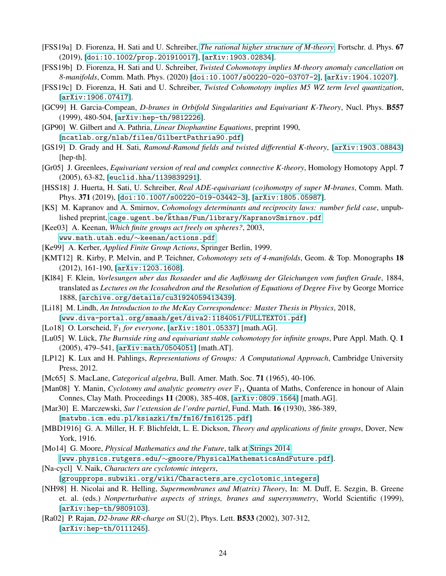- <span id="page-23-5"></span>[FSS19a] D. Fiorenza, H. Sati and U. Schreiber, *[The rational higher structure of M-theory](https://ncatlab.org/schreiber/show/The+rational+higher+structure+of+M-theory)*, Fortschr. d. Phys. 67 (2019), [[doi:10.1002/prop.201910017](https://doi.org/10.1002/prop.201910017)], [[arXiv:1903.02834](https://arxiv.org/abs/1903.02834)].
- <span id="page-23-6"></span>[FSS19b] D. Fiorenza, H. Sati and U. Schreiber, *Twisted Cohomotopy implies M-theory anomaly cancellation on 8-manifolds*, Comm. Math. Phys. (2020) [[doi:10.1007/s00220-020-03707-2](https://doi.org/10.1007/s00220-020-03707-2)], [[arXiv:1904.10207](https://arxiv.org/abs/1904.10207)].
- <span id="page-23-7"></span>[FSS19c] D. Fiorenza, H. Sati and U. Schreiber, *Twisted Cohomotopy implies M5 WZ term level quantization*, [[arXiv:1906.07417](https://arxiv.org/abs/1906.07417)].
- [GC99] H. Garcia-Compean, *D-branes in Orbifold Singularities and Equivariant K-Theory*, Nucl. Phys. B557 (1999), 480-504, [[arXiv:hep-th/9812226](https://arxiv.org/abs/hep-th/9812226)].
- <span id="page-23-19"></span>[GP90] W. Gilbert and A. Pathria, *Linear Diophantine Equations*, preprint 1990, [[ncatlab.org/nlab/files/GilbertPathria90.pdf](https://ncatlab.org/nlab/files/GilbertPathria90.pdf)]
- <span id="page-23-8"></span>[GS19] D. Grady and H. Sati, *Ramond-Ramond fields and twisted differential K-theory*, [[arXiv:1903.08843](https://arxiv.org/abs/1903.08843)] [hep-th].
- <span id="page-23-0"></span>[Gr05] J. Greenlees, *Equivariant version of real and complex connective K-theory*, Homology Homotopy Appl. 7 (2005), 63-82, [[euclid.hha/1139839291](http://projecteuclid.org/euclid.hha/1139839291)].
- <span id="page-23-2"></span>[HSS18] J. Huerta, H. Sati, U. Schreiber, *Real ADE-equivariant (co)homotpy of super M-branes*, Comm. Math. Phys. 371 (2019), [[doi:10.1007/s00220-019-03442-3](https://doi.org/10.1007/s00220-019-03442-3)], [[arXiv:1805.05987](https://arxiv.org/abs/1805.05987)].
- <span id="page-23-13"></span>[KS] M. Kapranov and A. Smirnov, *Cohomology determinants and reciprocity laws: number field case*, unpublished preprint, [cage.ugent.be/˜kthas/Fun/library/KapranovSmirnov.pdf](http://cage.ugent.be/~kthas/Fun/library/KapranovSmirnov.pdf)
- <span id="page-23-22"></span>[Kee03] A. Keenan, *Which finite groups act freely on spheres?*, 2003, [www.math.utah.edu/](http://www.math.utah.edu/~keenan/actions.pdf)∼keenan/actions.pdf
- <span id="page-23-11"></span>[Ke99] A. Kerber, *Applied Finite Group Actions*, Springer Berlin, 1999.
- <span id="page-23-9"></span>[KMT12] R. Kirby, P. Melvin, and P. Teichner, *Cohomotopy sets of 4-manifolds*, Geom. & Top. Monographs 18 (2012), 161-190, [[arXiv:1203.1608](https://arxiv.org/abs/1203.1608)].
- <span id="page-23-20"></span>[Kl84] F. Klein, *Vorlesungen uber das Ikosaeder und die Auflosung der Gleichungen vom funften Grade ¨* , 1884, translated as *Lectures on the Icosahedron and the Resolution of Equations of Degree Five* by George Morrice 1888, [[archive.org/details/cu31924059413439](https://archive.org/details/cu31924059413439)].
- <span id="page-23-23"></span>[Li18] M. Lindh, *An Introduction to the McKay Correspondence: Master Thesis in Physics*, 2018, [[www.diva-portal.org/smash/get/diva2:1184051/FULLTEXT01.pdf](http://www.diva-portal.org/smash/get/diva2:1184051/FULLTEXT01.pdf)]
- <span id="page-23-15"></span>[Lo18] O. Lorscheid, F<sup>1</sup> *for everyone*, [[arXiv:1801.05337](https://arxiv.org/abs/1801.05337)] [math.AG].
- <span id="page-23-10"></span>[Lu05] W. Lück, The Burnside ring and equivariant stable cohomotopy for infinite groups, Pure Appl. Math. Q. 1 (2005), 479–541, [[arXiv:math/0504051](https://arxiv.org/abs/math/0504051)] [math.AT].
- <span id="page-23-12"></span>[LP12] K. Lux and H. Pahlings, *Representations of Groups: A Computational Approach*, Cambridge University Press, 2012.
- <span id="page-23-17"></span>[Mc65] S. MacLane, *Categorical algebra*, Bull. Amer. Math. Soc. 71 (1965), 40-106.
- <span id="page-23-14"></span>[Man08] Y. Manin, *Cyclotomy and analytic geometry over*  $\mathbb{F}_1$ , Quanta of Maths, Conference in honour of Alain Connes, Clay Math. Proceedings 11 (2008), 385-408, [[arXiv:0809.1564](https://arxiv.org/abs/0809.1564)] [math.AG].
- <span id="page-23-18"></span>[Mar30] E. Marczewski, *Sur l'extension de l'ordre partiel*, Fund. Math. 16 (1930), 386-389,
	- [[matwbn.icm.edu.pl/ksiazki/fm/fm16/fm16125.pdf](http://matwbn.icm.edu.pl/ksiazki/fm/fm16/fm16125.pdf)]
- <span id="page-23-21"></span>[MBD1916] G. A. Miller, H. F. Blichfeldt, L. E. Dickson, *Theory and applications of finite groups*, Dover, New York, 1916.
- <span id="page-23-4"></span>[Mo14] G. Moore, *Physical Mathematics and the Future*, talk at [Strings 2014](http://physics.princeton.edu/strings2014/)
	- [www.physics.rutgers.edu/∼[gmoore/PhysicalMathematicsAndFuture.pdf](http://www.physics.rutgers.edu/~gmoore/PhysicalMathematicsAndFuture.pdf)].
- <span id="page-23-16"></span>[Na-cycl] V. Naik, *Characters are cyclotomic integers*,
	- [[groupprops.subwiki.org/wiki/Characters](https://groupprops.subwiki.org/wiki/Characters_are_cyclotomic_integers) are cyclotomic integers]
- <span id="page-23-3"></span>[NH98] H. Nicolai and R. Helling, *Supermembranes and M(atrix) Theory*, In: M. Duff, E. Sezgin, B. Greene et. al. (eds.) *Nonperturbative aspects of strings, branes and supersymmetry*, World Scientific (1999), [[arXiv:hep-th/9809103](https://arxiv.org/abs/hep-th/9809103)].
- <span id="page-23-1"></span>[Ra02] P. Rajan, *D2-brane RR-charge on* SU(2), Phys. Lett. B533 (2002), 307-312, [[arXiv:hep-th/0111245](https://arxiv.org/abs/hep-th/0111245)].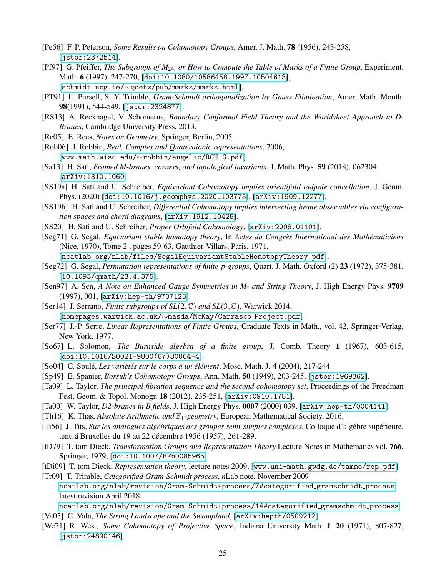- <span id="page-24-7"></span>[Pe56] F. P. Peterson, *Some Results on Cohomotopy Groups*, Amer. J. Math. 78 (1956), 243-258, [[jstor:2372514](https://www.jstor.org/stable/2372514)].
- <span id="page-24-20"></span>[Pf97] G. Pfeiffer, *The Subgroups of M*24*, or How to Compute the Table of Marks of a Finite Group*, Experiment. Math. 6 (1997), 247-270, [[doi:10.1080/10586458.1997.10504613](https://doi.org/10.1080/10586458.1997.10504613)], [schmidt.ucg.ie/∼[goetz/pub/marks/marks.html](http://schmidt.ucg.ie/~goetz/pub/marks/marks.html)].
- <span id="page-24-21"></span>[PT91] L. Pursell, S. Y. Trimble, *Gram-Schmidt orthogonalization by Gauss Elimination*, Amer. Math. Month. 98(1991), 544-549, [[jstor:2324877](https://www.jstor.org/stable/2324877)].
- <span id="page-24-1"></span>[RS13] A. Recknagel, V. Schomerus, *Boundary Conformal Field Theory and the Worldsheet Approach to D-Branes*, Cambridge University Press, 2013.
- <span id="page-24-23"></span>[Re05] E. Rees, *Notes on Geometry*, Springer, Berlin, 2005.
- <span id="page-24-19"></span>[Rob06] J. Robbin, *Real, Complex and Quaternionic representations*, 2006, [www.math.wisc.edu/∼[robbin/angelic/RCH-G.pdf](http://www.math.wisc.edu/~robbin/angelic/RCH-G.pdf)]
- <span id="page-24-4"></span>[Sa13] H. Sati, *Framed M-branes, corners, and topological invariants*, J. Math. Phys. 59 (2018), 062304, [[arXiv:1310.1060](https://arxiv.org/abs/ arXiv:1310.1060)].
- <span id="page-24-0"></span>[SS19a] H. Sati and U. Schreiber, *Equivariant Cohomotopy implies orientifold tadpole cancellation*, J. Geom. Phys. (2020) [[doi:10.1016/j.geomphys.2020.103775](https://doi.org/10.1016/j.geomphys.2020.103775)], [[arXiv:1909.12277](https://arxiv.org/abs/1909.12277)].
- <span id="page-24-5"></span>[SS19b] H. Sati and U. Schreiber, *Differential Cohomotopy implies intersecting brane observables via configuration spaces and chord diagrams*, [[arXiv:1912.10425](https://arxiv.org/abs/1912.10425)].
- <span id="page-24-10"></span>[SS20] H. Sati and U. Schreiber, *Proper Orbifold Cohomology*, [[arXiv:2008.01101](https://arxiv.org/abs/2008.01101)].
- <span id="page-24-11"></span>[Seg71] G. Segal, *Equivariant stable homotopy theory*, In *Actes du Congres International des Math ` ematiciens ´* (Nice, 1970), Tome 2 , pages 59-63, Gauthier-Villars, Paris, 1971, [[ncatlab.org/nlab/files/SegalEquivariantStableHomotopyTheory.pdf](https://ncatlab.org/nlab/files/SegalEquivariantStableHomotopyTheory.pdf)].
- <span id="page-24-17"></span>[Seg72] G. Segal, *Permutation representations of finite p-groups*, Quart. J. Math. Oxford (2) 23 (1972), 375-381, [[10.1093/qmath/23.4.375](https://doi.org/10.1093/qmath/23.4.375)].
- [Sen97] A. Sen, *A Note on Enhanced Gauge Symmetries in M- and String Theory*, J. High Energy Phys. 9709 (1997), 001, [[arXiv:hep-th/9707123](https://arxiv.org/abs/hep-th/9707123)].
- <span id="page-24-22"></span>[Ser14] J. Serrano, *Finite subgroups of SL*(2,C) *and SL*(3,C), Warwick 2014, [[homepages.warwick.ac.uk/](https://homepages.warwick.ac.uk/~masda/McKay/Carrasco_Project.pdf)∼masda/McKay/Carrasco Project.pdf]
- [Ser77] J.-P. Serre, *Linear Representations of Finite Groups*, Graduate Texts in Math., vol. 42, Springer-Verlag, New York, 1977.
- <span id="page-24-16"></span>[So67] L. Solomon, *The Burnside algebra of a finite group*, J. Comb. Theory 1 (1967), 603-615, [[doi:10.1016/S0021-9800\(67\)80064-4](https://doi.org/10.1016/S0021-9800(67)80064-4)].
- <span id="page-24-14"></span>[So04] C. Soule,´ *Les variet´ es sur le corps ´ a un ´ el´ ement ´* , Mosc. Math. J. 4 (2004), 217-244.
- <span id="page-24-6"></span>[Sp49] E. Spanier, *Borsuk's Cohomotopy Groups*, Ann. Math. 50 (1949), 203-245, [[jstor:1969362](http://www.jstor.org/stable/1969362)].
- <span id="page-24-9"></span>[Ta09] L. Taylor, *The principal fibration sequence and the second cohomotopy set*, Proceedings of the Freedman Fest, Geom. & Topol. Monogr. 18 (2012), 235-251, [[arXiv:0910.1781](https://arxiv.org/abs/0910.1781)].
- <span id="page-24-2"></span>[Ta00] W. Taylor, *D2-branes in B fields*, J. High Energy Phys. 0007 (2000) 039, [[arXiv:hep-th/0004141](https://arxiv.org/abs/hep-th/0004141)].
- <span id="page-24-15"></span>[Th16] K. Thas, *Absolute Arithmetic and* F1*-geometry*, European Mathematical Society, 2016.
- <span id="page-24-13"></span>[Ti56] J. Tits, *Sur les analogues algébriques des groupes semi-simples complexes*, Colloque d'algébre supérieure, tenu á Bruxelles du 19 au 22 décembre 1956 (1957), 261-289.
- <span id="page-24-12"></span>[tD79] T. tom Dieck, *Transformation Groups and Representation Theory* Lecture Notes in Mathematics vol. 766, Springer, 1979, [[doi:10.1007/BFb0085965](https://link.springer.com/book/10.1007/BFb0085965)].
- <span id="page-24-18"></span>[tDi09] T. tom Dieck, *Representation theory*, lecture notes 2009, [[www.uni-math.gwdg.de/tammo/rep.pdf](http://www.uni-math.gwdg.de/tammo/rep.pdf)]
- <span id="page-24-24"></span>[Tr09] T. Trimble, *Categorified Gram-Schmidt process*, *n*Lab note, November 2009 [ncatlab.org/nlab/revision/Gram-Schmidt+process/7#categorified](https://ncatlab.org/nlab/revision/Gram-Schmidt+process/7#categorified_gramschmidt_process) gramschmidt process latest revision April 2018
	- [ncatlab.org/nlab/revision/Gram-Schmidt+process/14#categorified](https://ncatlab.org/nlab/revision/Gram-Schmidt+process/14#categorified_gramschmidt_process) gramschmidt process
- <span id="page-24-3"></span>[Va05] C. Vafa, *The String Landscape and the Swampland*, [[arXiv:hepth/0509212](http://arxiv.org/abs/hepth/0509212)]
- <span id="page-24-8"></span>[We71] R. West, *Some Cohomotopy of Projective Space*, Indiana University Math. J. 20 (1971), 807-827, [[jstor:24890146](https://www.jstor.org/stable/24890146)].